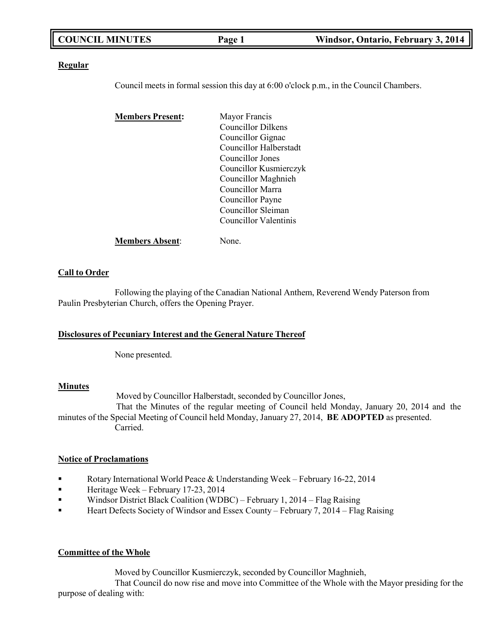| <b>COUNCIL MINUTES</b> | Page 1 | Windsor, Ontario, February 3, 2014 |
|------------------------|--------|------------------------------------|
|                        |        |                                    |

#### **Regular**

Council meets in formal session this day at 6:00 o'clock p.m., in the Council Chambers.

| <b>Members Present:</b> | Mayor Francis          |
|-------------------------|------------------------|
|                         | Councillor Dilkens     |
|                         | Councillor Gignac      |
|                         | Councillor Halberstadt |
|                         | Councillor Jones       |
|                         | Councillor Kusmierczyk |
|                         | Councillor Maghnieh    |
|                         | Councillor Marra       |
|                         | Councillor Payne       |
|                         | Councillor Sleiman     |
|                         | Councillor Valentinis  |
| <b>Members Absent:</b>  | None.                  |

#### **Call to Order**

Following the playing of the Canadian National Anthem, Reverend Wendy Paterson from Paulin Presbyterian Church, offers the Opening Prayer.

#### **Disclosures of Pecuniary Interest and the General Nature Thereof**

None presented.

#### **Minutes**

Moved by Councillor Halberstadt, seconded by Councillor Jones,

That the Minutes of the regular meeting of Council held Monday, January 20, 2014 and the minutes of the Special Meeting of Council held Monday, January 27, 2014, **BE ADOPTED** as presented. Carried.

#### **Notice of Proclamations**

- Rotary International World Peace & Understanding Week February 16-22, 2014
- **Example 12** Heritage Week February 17-23, 2014
- Windsor District Black Coalition (WDBC) February 1, 2014 Flag Raising
- Heart Defects Society of Windsor and Essex County February 7, 2014 Flag Raising

#### **Committee of the Whole**

Moved by Councillor Kusmierczyk, seconded by Councillor Maghnieh,

That Council do now rise and move into Committee of the Whole with the Mayor presiding for the purpose of dealing with: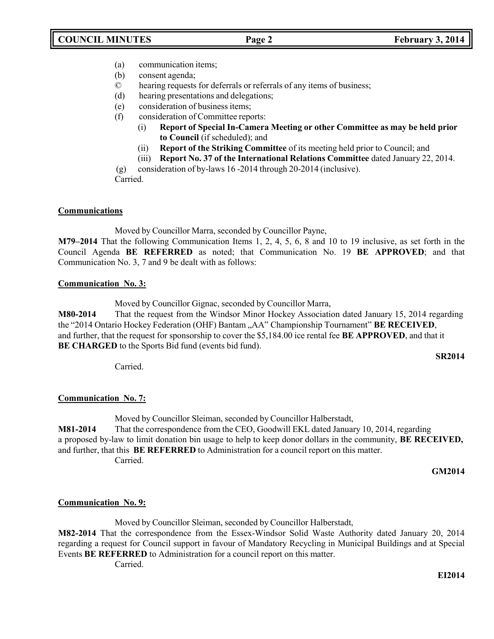- (a) communication items;
- (b) consent agenda;
- © hearing requests for deferrals or referrals of any items of business;
- (d) hearing presentations and delegations;
- (e) consideration of business items;
- (f) consideration of Committee reports:
	- (i) **Report of Special In-Camera Meeting or other Committee as may be held prior to Council** (if scheduled); and
	- (ii) **Report of the Striking Committee** of its meeting held prior to Council; and
	- (iii) **Report No. 37 of the International Relations Committee** dated January 22, 2014.

(g) consideration of by-laws 16 -2014 through 20-2014 (inclusive). Carried.

### **Communications**

Moved by Councillor Marra, seconded by Councillor Payne,

**M79–2014** That the following Communication Items 1, 2, 4, 5, 6, 8 and 10 to 19 inclusive, as set forth in the Council Agenda **BE REFERRED** as noted; that Communication No. 19 **BE APPROVED**; and that Communication No. 3, 7 and 9 be dealt with as follows:

### **Communication No. 3:**

Moved by Councillor Gignac, seconded by Councillor Marra,

**M80-2014** That the request from the Windsor Minor Hockey Association dated January 15, 2014 regarding the "2014 Ontario Hockey Federation (OHF) Bantam "AA" Championship Tournament" **BE RECEIVED**, and further, that the request for sponsorship to cover the \$5,184.00 ice rental fee **BE APPROVED**, and that it **BE CHARGED** to the Sports Bid fund (events bid fund).

**SR2014**

Carried.

### **Communication No. 7:**

Moved by Councillor Sleiman, seconded by Councillor Halberstadt,

**M81-2014** That the correspondence from the CEO, Goodwill EKL dated January 10, 2014, regarding a proposed by-law to limit donation bin usage to help to keep donor dollars in the community, **BE RECEIVED,** and further, that this **BE REFERRED** to Administration for a council report on this matter. Carried.

**GM2014**

#### **Communication No. 9:**

Moved by Councillor Sleiman, seconded by Councillor Halberstadt, **M82-2014** That the correspondence from the Essex-Windsor Solid Waste Authority dated January 20, 2014 regarding a request for Council support in favour of Mandatory Recycling in Municipal Buildings and at Special Events **BE REFERRED** to Administration for a council report on this matter.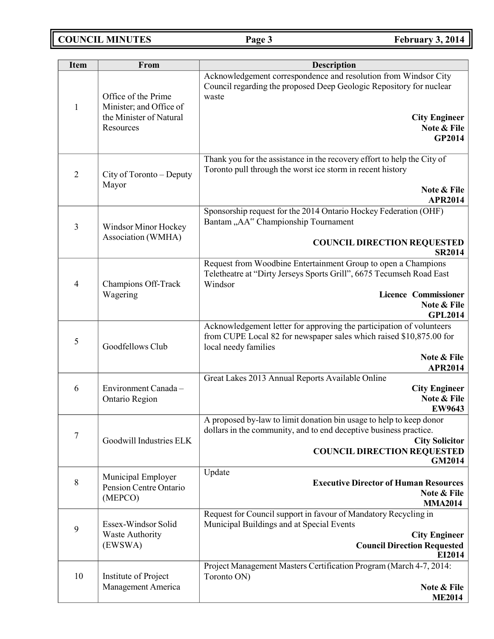# **COUNCIL MINUTES Page 3 February 3, 2014**

| <b>Item</b>    | From                                           | <b>Description</b>                                                                                                                                                  |
|----------------|------------------------------------------------|---------------------------------------------------------------------------------------------------------------------------------------------------------------------|
| $\mathbf{1}$   | Office of the Prime<br>Minister; and Office of | Acknowledgement correspondence and resolution from Windsor City<br>Council regarding the proposed Deep Geologic Repository for nuclear<br>waste                     |
|                | the Minister of Natural<br>Resources           | <b>City Engineer</b><br>Note & File<br>GP2014                                                                                                                       |
| $\overline{2}$ | City of Toronto - Deputy<br>Mayor              | Thank you for the assistance in the recovery effort to help the City of<br>Toronto pull through the worst ice storm in recent history<br>Note & File                |
|                |                                                | <b>APR2014</b>                                                                                                                                                      |
| $\mathfrak{Z}$ | Windsor Minor Hockey                           | Sponsorship request for the 2014 Ontario Hockey Federation (OHF)<br>Bantam "AA" Championship Tournament                                                             |
|                | Association (WMHA)                             | <b>COUNCIL DIRECTION REQUESTED</b><br><b>SR2014</b>                                                                                                                 |
| $\overline{4}$ | Champions Off-Track                            | Request from Woodbine Entertainment Group to open a Champions<br>Teletheatre at "Dirty Jerseys Sports Grill", 6675 Tecumseh Road East<br>Windsor                    |
|                | Wagering                                       | <b>Licence Commissioner</b><br>Note & File<br><b>GPL2014</b>                                                                                                        |
| $\mathfrak{S}$ | Goodfellows Club                               | Acknowledgement letter for approving the participation of volunteers<br>from CUPE Local 82 for newspaper sales which raised \$10,875.00 for<br>local needy families |
|                |                                                | Note & File<br><b>APR2014</b>                                                                                                                                       |
|                |                                                | Great Lakes 2013 Annual Reports Available Online                                                                                                                    |
| 6              | Environment Canada -<br>Ontario Region         | <b>City Engineer</b><br>Note & File                                                                                                                                 |
|                |                                                | <b>EW9643</b>                                                                                                                                                       |
|                |                                                | A proposed by-law to limit donation bin usage to help to keep donor<br>dollars in the community, and to end deceptive business practice.                            |
| $\tau$         | Goodwill Industries ELK                        | <b>City Solicitor</b>                                                                                                                                               |
|                |                                                | <b>COUNCIL DIRECTION REQUESTED</b><br><b>GM2014</b>                                                                                                                 |
|                | Municipal Employer                             | Update                                                                                                                                                              |
| $8\phantom{1}$ | Pension Centre Ontario                         | <b>Executive Director of Human Resources</b><br>Note & File                                                                                                         |
|                | (MEPCO)                                        | <b>MMA2014</b>                                                                                                                                                      |
|                | Essex-Windsor Solid                            | Request for Council support in favour of Mandatory Recycling in                                                                                                     |
| 9              | <b>Waste Authority</b>                         | Municipal Buildings and at Special Events<br><b>City Engineer</b>                                                                                                   |
|                | (EWSWA)                                        | <b>Council Direction Requested</b><br>EI2014                                                                                                                        |
|                |                                                | Project Management Masters Certification Program (March 4-7, 2014:                                                                                                  |
| 10             | Institute of Project<br>Management America     | Toronto ON)<br>Note & File                                                                                                                                          |
|                |                                                | <b>ME2014</b>                                                                                                                                                       |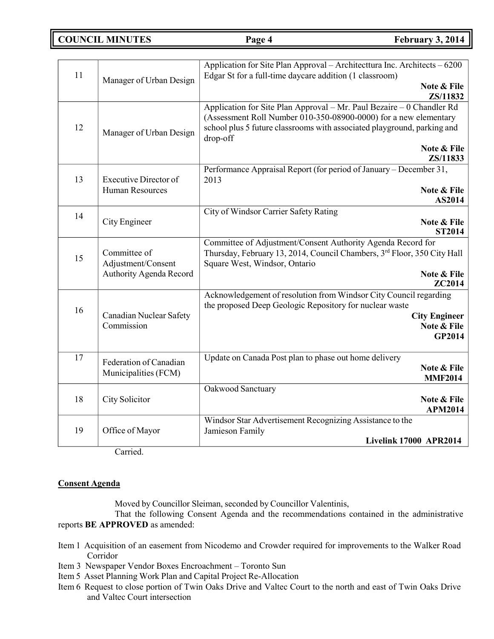**COUNCIL MINUTES Page 4 February 3, 2014**

| 11 | Manager of Urban Design                       | Application for Site Plan Approval – Architecttura Inc. Architects – 6200<br>Edgar St for a full-time daycare addition (1 classroom) |
|----|-----------------------------------------------|--------------------------------------------------------------------------------------------------------------------------------------|
|    |                                               | Note & File<br>ZS/11832                                                                                                              |
|    |                                               | Application for Site Plan Approval - Mr. Paul Bezaire - 0 Chandler Rd                                                                |
|    |                                               | (Assessment Roll Number 010-350-08900-0000) for a new elementary                                                                     |
| 12 | Manager of Urban Design                       | school plus 5 future classrooms with associated playground, parking and<br>drop-off                                                  |
|    |                                               | Note & File                                                                                                                          |
|    |                                               | ZS/11833                                                                                                                             |
| 13 | <b>Executive Director of</b>                  | Performance Appraisal Report (for period of January – December 31,<br>2013                                                           |
|    | <b>Human Resources</b>                        | Note & File<br>AS2014                                                                                                                |
|    |                                               | City of Windsor Carrier Safety Rating                                                                                                |
| 14 | City Engineer                                 | Note & File                                                                                                                          |
|    |                                               | <b>ST2014</b>                                                                                                                        |
|    |                                               | Committee of Adjustment/Consent Authority Agenda Record for                                                                          |
| 15 | Committee of                                  | Thursday, February 13, 2014, Council Chambers, 3rd Floor, 350 City Hall                                                              |
|    | Adjustment/Consent<br>Authority Agenda Record | Square West, Windsor, Ontario<br>Note & File                                                                                         |
|    |                                               | <b>ZC2014</b>                                                                                                                        |
|    |                                               | Acknowledgement of resolution from Windsor City Council regarding                                                                    |
| 16 |                                               | the proposed Deep Geologic Repository for nuclear waste                                                                              |
|    | Canadian Nuclear Safety<br>Commission         | <b>City Engineer</b>                                                                                                                 |
|    |                                               | Note & File<br>GP2014                                                                                                                |
|    |                                               |                                                                                                                                      |
| 17 | Federation of Canadian                        | Update on Canada Post plan to phase out home delivery                                                                                |
|    | Municipalities (FCM)                          | Note & File                                                                                                                          |
|    |                                               | <b>MMF2014</b>                                                                                                                       |
| 18 |                                               | Oakwood Sanctuary<br>Note & File                                                                                                     |
|    | City Solicitor                                | <b>APM2014</b>                                                                                                                       |
|    |                                               | Windsor Star Advertisement Recognizing Assistance to the                                                                             |
| 19 | Office of Mayor                               | Jamieson Family                                                                                                                      |
|    |                                               | <b>Livelink 17000 APR2014</b>                                                                                                        |

Carried.

#### **Consent Agenda**

Moved by Councillor Sleiman, seconded by Councillor Valentinis,

That the following Consent Agenda and the recommendations contained in the administrative reports **BE APPROVED** as amended:

- Item 1 Acquisition of an easement from Nicodemo and Crowder required for improvements to the Walker Road Corridor
- Item 3 Newspaper Vendor Boxes Encroachment Toronto Sun
- Item 5 Asset Planning Work Plan and Capital Project Re-Allocation
- Item 6 Request to close portion of Twin Oaks Drive and Valtec Court to the north and east of Twin Oaks Drive and Valtec Court intersection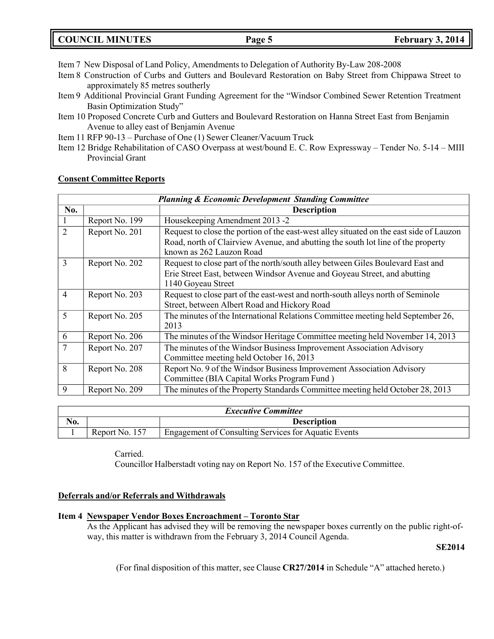Item 7 New Disposal of Land Policy, Amendments to Delegation of Authority By-Law 208-2008

- Item 8 Construction of Curbs and Gutters and Boulevard Restoration on Baby Street from Chippawa Street to approximately 85 metres southerly
- Item 9 Additional Provincial Grant Funding Agreement for the "Windsor Combined Sewer Retention Treatment Basin Optimization Study"
- Item 10 Proposed Concrete Curb and Gutters and Boulevard Restoration on Hanna Street East from Benjamin Avenue to alley east of Benjamin Avenue
- Item 11 RFP 90-13 Purchase of One (1) Sewer Cleaner/Vacuum Truck
- Item 12 Bridge Rehabilitation of CASO Overpass at west/bound E. C. Row Expressway Tender No. 5-14 MIII Provincial Grant

| <b>Planning &amp; Economic Development Standing Committee</b> |                |                                                                                         |  |
|---------------------------------------------------------------|----------------|-----------------------------------------------------------------------------------------|--|
| No.                                                           |                | <b>Description</b>                                                                      |  |
| л.                                                            | Report No. 199 | Housekeeping Amendment 2013 -2                                                          |  |
| $\overline{2}$                                                | Report No. 201 | Request to close the portion of the east-west alley situated on the east side of Lauzon |  |
|                                                               |                | Road, north of Clairview Avenue, and abutting the south lot line of the property        |  |
|                                                               |                | known as 262 Lauzon Road                                                                |  |
| $\overline{3}$                                                | Report No. 202 | Request to close part of the north/south alley between Giles Boulevard East and         |  |
|                                                               |                | Erie Street East, between Windsor Avenue and Goyeau Street, and abutting                |  |
|                                                               |                | 1140 Goyeau Street                                                                      |  |
| $\overline{4}$                                                | Report No. 203 | Request to close part of the east-west and north-south alleys north of Seminole         |  |
|                                                               |                | Street, between Albert Road and Hickory Road                                            |  |
| 5                                                             | Report No. 205 | The minutes of the International Relations Committee meeting held September 26,         |  |
|                                                               |                | 2013                                                                                    |  |
| 6                                                             | Report No. 206 | The minutes of the Windsor Heritage Committee meeting held November 14, 2013            |  |
| 7                                                             | Report No. 207 | The minutes of the Windsor Business Improvement Association Advisory                    |  |
|                                                               |                | Committee meeting held October 16, 2013                                                 |  |
| 8                                                             | Report No. 208 | Report No. 9 of the Windsor Business Improvement Association Advisory                   |  |
|                                                               |                | Committee (BIA Capital Works Program Fund)                                              |  |
| 9                                                             | Report No. 209 | The minutes of the Property Standards Committee meeting held October 28, 2013           |  |

#### **Consent Committee Reports**

| <b>Executive Committee</b> |                    |                                                      |  |
|----------------------------|--------------------|------------------------------------------------------|--|
| No.                        | <b>Description</b> |                                                      |  |
|                            | Report No. 157     | Engagement of Consulting Services for Aquatic Events |  |

Carried. Councillor Halberstadt voting nay on Report No. 157 of the Executive Committee.

#### **Deferrals and/or Referrals and Withdrawals**

#### **Item 4 Newspaper Vendor Boxes Encroachment – Toronto Star**

As the Applicant has advised they will be removing the newspaper boxes currently on the public right-ofway, this matter is withdrawn from the February 3, 2014 Council Agenda.

**SE2014**

(For final disposition of this matter, see Clause **CR27/2014** in Schedule "A" attached hereto.)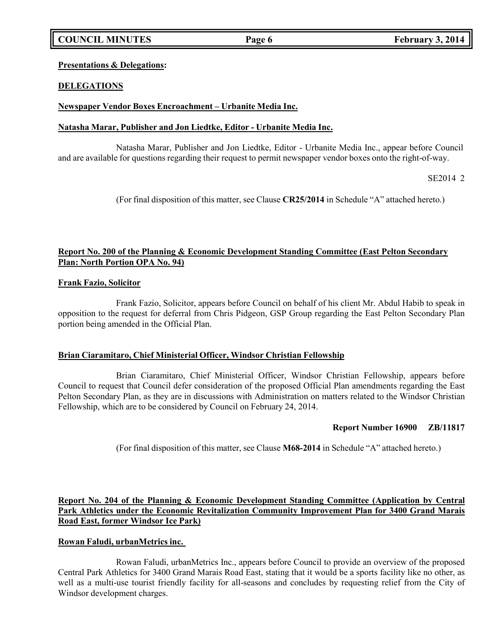# **COUNCIL MINUTES Page 6 February 3, 2014**

#### **Presentations & Delegations:**

### **DELEGATIONS**

### **Newspaper Vendor Boxes Encroachment – Urbanite Media Inc.**

#### **Natasha Marar, Publisher and Jon Liedtke, Editor - Urbanite Media Inc.**

Natasha Marar, Publisher and Jon Liedtke, Editor - Urbanite Media Inc., appear before Council and are available for questions regarding their request to permit newspaper vendor boxes onto the right-of-way.

SE2014 2

(For final disposition of this matter, see Clause **CR25/2014** in Schedule "A" attached hereto.)

### **Report No. 200 of the Planning & Economic Development Standing Committee (East Pelton Secondary Plan: North Portion OPA No. 94)**

#### **Frank Fazio, Solicitor**

Frank Fazio, Solicitor, appears before Council on behalf of his client Mr. Abdul Habib to speak in opposition to the request for deferral from Chris Pidgeon, GSP Group regarding the East Pelton Secondary Plan portion being amended in the Official Plan.

#### **Brian Ciaramitaro, Chief Ministerial Officer, Windsor Christian Fellowship**

Brian Ciaramitaro, Chief Ministerial Officer, Windsor Christian Fellowship, appears before Council to request that Council defer consideration of the proposed Official Plan amendments regarding the East Pelton Secondary Plan, as they are in discussions with Administration on matters related to the Windsor Christian Fellowship, which are to be considered by Council on February 24, 2014.

#### **Report Number 16900 ZB/11817**

(For final disposition of this matter, see Clause **M68-2014** in Schedule "A" attached hereto.)

**Report No. 204 of the Planning & Economic Development Standing Committee (Application by Central Park Athletics under the Economic Revitalization Community Improvement Plan for 3400 Grand Marais Road East, former Windsor Ice Park)**

#### **Rowan Faludi, urbanMetrics inc.**

Rowan Faludi, urbanMetrics Inc., appears before Council to provide an overview of the proposed Central Park Athletics for 3400 Grand Marais Road East, stating that it would be a sports facility like no other, as well as a multi-use tourist friendly facility for all-seasons and concludes by requesting relief from the City of Windsor development charges.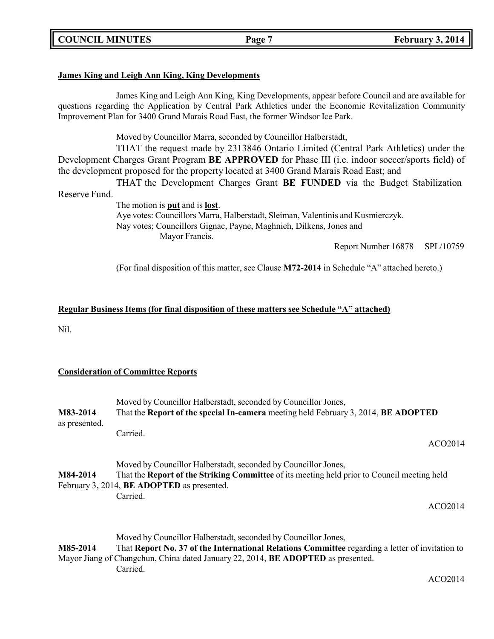**COUNCIL MINUTES Page 7 February 3, 2014**

#### **James King and Leigh Ann King, King Developments**

James King and Leigh Ann King, King Developments, appear before Council and are available for questions regarding the Application by Central Park Athletics under the Economic Revitalization Community Improvement Plan for 3400 Grand Marais Road East, the former Windsor Ice Park.

Moved by Councillor Marra, seconded by Councillor Halberstadt,

THAT the request made by 2313846 Ontario Limited (Central Park Athletics) under the Development Charges Grant Program **BE APPROVED** for Phase III (i.e. indoor soccer/sports field) of the development proposed for the property located at 3400 Grand Marais Road East; and

THAT the Development Charges Grant **BE FUNDED** via the Budget Stabilization Reserve Fund.

> The motion is **put** and is **lost**. Aye votes: Councillors Marra, Halberstadt, Sleiman, Valentinis and Kusmierczyk. Nay votes; Councillors Gignac, Payne, Maghnieh, Dilkens, Jones and Mayor Francis.

Report Number 16878 SPL/10759

(For final disposition of this matter, see Clause **M72-2014** in Schedule "A" attached hereto.)

#### **Regular Business Items (for final disposition of these matters see Schedule "A" attached)**

Nil.

#### **Consideration of Committee Reports**

| M83-2014<br>as presented. | Moved by Councillor Halberstadt, seconded by Councillor Jones,<br>That the Report of the special In-camera meeting held February 3, 2014, BE ADOPTED                                                               |  |  |
|---------------------------|--------------------------------------------------------------------------------------------------------------------------------------------------------------------------------------------------------------------|--|--|
|                           | Carried.<br>ACO <sub>2014</sub>                                                                                                                                                                                    |  |  |
| M84-2014                  | Moved by Councillor Halberstadt, seconded by Councillor Jones,<br>That the <b>Report of the Striking Committee</b> of its meeting held prior to Council meeting held<br>February 3, 2014, BE ADOPTED as presented. |  |  |
|                           | Carried.<br>ACO <sub>2014</sub>                                                                                                                                                                                    |  |  |
|                           | Moved by Councillor Halberstadt, seconded by Councillor Jones,                                                                                                                                                     |  |  |
| M85-2014                  | That Report No. 37 of the International Relations Committee regarding a letter of invitation to                                                                                                                    |  |  |
|                           | Mayor Jiang of Changchun, China dated January 22, 2014, BE ADOPTED as presented.                                                                                                                                   |  |  |

Carried.

ACO2014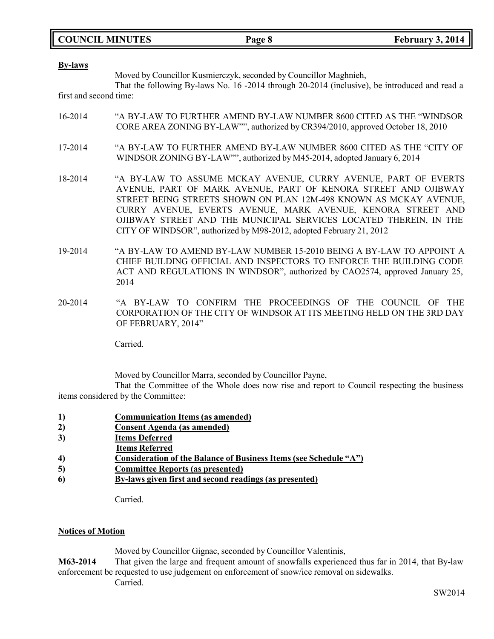|  | <b>COUNCIL MINUTES</b> |
|--|------------------------|
|--|------------------------|

**By-laws**

Moved by Councillor Kusmierczyk, seconded by Councillor Maghnieh,

That the following By-laws No. 16 -2014 through 20-2014 (inclusive), be introduced and read a first and second time:

- 16-2014 "A BY-LAW TO FURTHER AMEND BY-LAW NUMBER 8600 CITED AS THE "WINDSOR CORE AREA ZONING BY-LAW"", authorized by CR394/2010, approved October 18, 2010
- 17-2014 "A BY-LAW TO FURTHER AMEND BY-LAW NUMBER 8600 CITED AS THE "CITY OF WINDSOR ZONING BY-LAW"", authorized by M45-2014, adopted January 6, 2014
- 18-2014 "A BY-LAW TO ASSUME MCKAY AVENUE, CURRY AVENUE, PART OF EVERTS AVENUE, PART OF MARK AVENUE, PART OF KENORA STREET AND OJIBWAY STREET BEING STREETS SHOWN ON PLAN 12M-498 KNOWN AS MCKAY AVENUE, CURRY AVENUE, EVERTS AVENUE, MARK AVENUE, KENORA STREET AND OJIBWAY STREET AND THE MUNICIPAL SERVICES LOCATED THEREIN, IN THE CITY OF WINDSOR", authorized by M98-2012, adopted February 21, 2012
- 19-2014 "A BY-LAW TO AMEND BY-LAW NUMBER 15-2010 BEING A BY-LAW TO APPOINT A CHIEF BUILDING OFFICIAL AND INSPECTORS TO ENFORCE THE BUILDING CODE ACT AND REGULATIONS IN WINDSOR", authorized by CAO2574, approved January 25, 2014
- 20-2014 "A BY-LAW TO CONFIRM THE PROCEEDINGS OF THE COUNCIL OF THE CORPORATION OF THE CITY OF WINDSOR AT ITS MEETING HELD ON THE 3RD DAY OF FEBRUARY, 2014"

Carried.

Moved by Councillor Marra, seconded by Councillor Payne,

That the Committee of the Whole does now rise and report to Council respecting the business items considered by the Committee:

- **1) Communication Items (as amended)**
- **2) Consent Agenda (as amended)**
- **3) Items Deferred**
- **Items Referred**
- **4) Consideration of the Balance of Business Items (see Schedule "A")**
- **5) Committee Reports (as presented)**
- **6) By-laws given first and second readings (as presented)**

Carried.

#### **Notices of Motion**

Moved by Councillor Gignac, seconded by Councillor Valentinis,

**M63-2014** That given the large and frequent amount of snowfalls experienced thus far in 2014, that By-law enforcement be requested to use judgement on enforcement of snow/ice removal on sidewalks.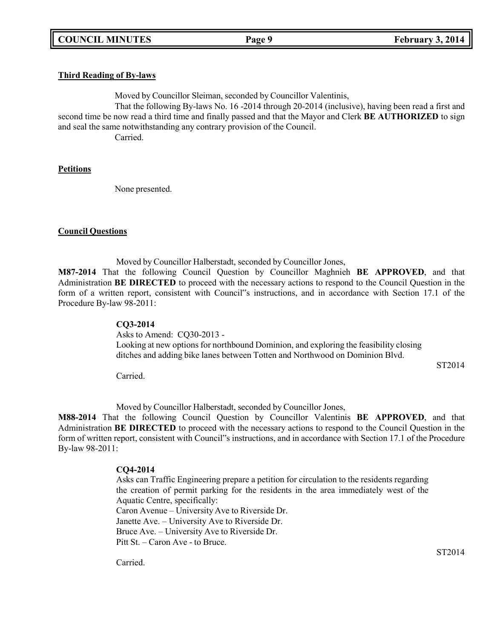### **Third Reading of By-laws**

Moved by Councillor Sleiman, seconded by Councillor Valentinis,

That the following By-laws No. 16 -2014 through 20-2014 (inclusive), having been read a first and second time be now read a third time and finally passed and that the Mayor and Clerk **BE AUTHORIZED** to sign and seal the same notwithstanding any contrary provision of the Council.

Carried.

#### **Petitions**

None presented.

#### **Council Questions**

Moved by Councillor Halberstadt, seconded by Councillor Jones,

**M87-2014** That the following Council Question by Councillor Maghnieh **BE APPROVED**, and that Administration **BE DIRECTED** to proceed with the necessary actions to respond to the Council Question in the form of a written report, consistent with Council"s instructions, and in accordance with Section 17.1 of the Procedure By-law 98-2011:

#### **CQ3-2014**

Asks to Amend: CQ30-2013 - Looking at new options for northbound Dominion, and exploring the feasibility closing ditches and adding bike lanes between Totten and Northwood on Dominion Blvd.

ST2014

Carried.

Moved by Councillor Halberstadt, seconded by Councillor Jones,

**M88-2014** That the following Council Question by Councillor Valentinis **BE APPROVED**, and that Administration **BE DIRECTED** to proceed with the necessary actions to respond to the Council Question in the form of written report, consistent with Council"s instructions, and in accordance with Section 17.1 of the Procedure By-law 98-2011:

#### **CQ4-2014**

Asks can Traffic Engineering prepare a petition for circulation to the residents regarding the creation of permit parking for the residents in the area immediately west of the Aquatic Centre, specifically: Caron Avenue – University Ave to Riverside Dr. Janette Ave. – University Ave to Riverside Dr. Bruce Ave. – University Ave to Riverside Dr. Pitt St. – Caron Ave - to Bruce.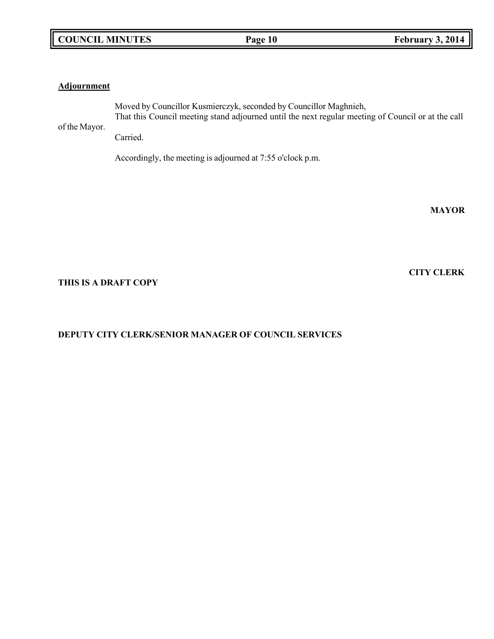### **Adjournment**

of the Mayor.

Moved by Councillor Kusmierczyk, seconded by Councillor Maghnieh, That this Council meeting stand adjourned until the next regular meeting of Council or at the call

Carried.

Accordingly, the meeting is adjourned at 7:55 o'clock p.m.

**MAYOR**

**CITY CLERK**

#### **THIS IS A DRAFT COPY**

# **DEPUTY CITY CLERK/SENIOR MANAGER OF COUNCIL SERVICES**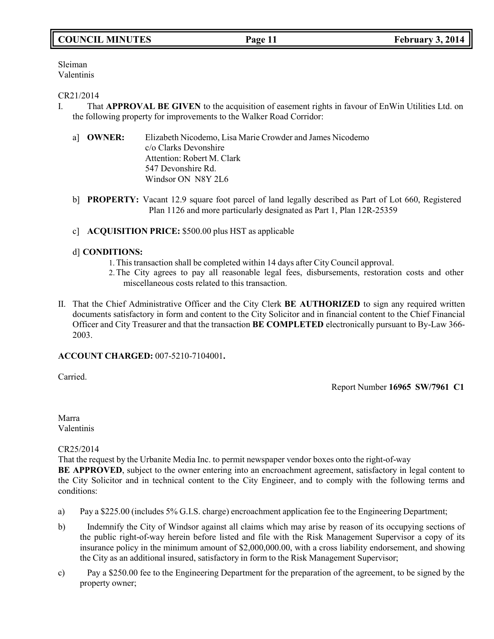# **COUNCIL MINUTES Page 11 February 3, 2014**

Sleiman Valentinis

#### CR21/2014

- I. That **APPROVAL BE GIVEN** to the acquisition of easement rights in favour of EnWin Utilities Ltd. on the following property for improvements to the Walker Road Corridor:
	- a] **OWNER:** Elizabeth Nicodemo, Lisa Marie Crowder and James Nicodemo c/o Clarks Devonshire Attention: Robert M. Clark 547 Devonshire Rd. Windsor ON N8Y 2L6
	- b] **PROPERTY:** Vacant 12.9 square foot parcel of land legally described as Part of Lot 660, Registered Plan 1126 and more particularly designated as Part 1, Plan 12R-25359
	- c] **ACQUISITION PRICE:** \$500.00 plus HST as applicable

### d] **CONDITIONS:**

- 1. This transaction shall be completed within 14 days after City Council approval.
- 2.The City agrees to pay all reasonable legal fees, disbursements, restoration costs and other miscellaneous costs related to this transaction.
- II. That the Chief Administrative Officer and the City Clerk **BE AUTHORIZED** to sign any required written documents satisfactory in form and content to the City Solicitor and in financial content to the Chief Financial Officer and City Treasurer and that the transaction **BE COMPLETED** electronically pursuant to By-Law 366- 2003.

#### **ACCOUNT CHARGED:** 007-5210-7104001**.**

Carried.

Report Number **16965 SW/7961 C1**

Marra Valentinis

CR25/2014

That the request by the Urbanite Media Inc. to permit newspaper vendor boxes onto the right-of-way

**BE APPROVED**, subject to the owner entering into an encroachment agreement, satisfactory in legal content to the City Solicitor and in technical content to the City Engineer, and to comply with the following terms and conditions:

- a) Pay a \$225.00 (includes 5% G.I.S. charge) encroachment application fee to the Engineering Department;
- b) Indemnify the City of Windsor against all claims which may arise by reason of its occupying sections of the public right-of-way herein before listed and file with the Risk Management Supervisor a copy of its insurance policy in the minimum amount of \$2,000,000.00, with a cross liability endorsement, and showing the City as an additional insured, satisfactory in form to the Risk Management Supervisor;
- c) Pay a \$250.00 fee to the Engineering Department for the preparation of the agreement, to be signed by the property owner;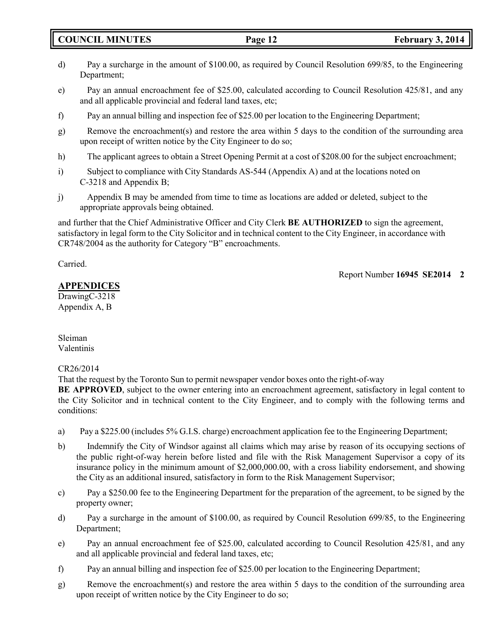**COUNCIL MINUTES Page 12 February 3, 2014**

- d) Pay a surcharge in the amount of \$100.00, as required by Council Resolution 699/85, to the Engineering Department;
- e) Pay an annual encroachment fee of \$25.00, calculated according to Council Resolution 425/81, and any and all applicable provincial and federal land taxes, etc;
- f) Pay an annual billing and inspection fee of \$25.00 per location to the Engineering Department;
- g) Remove the encroachment(s) and restore the area within 5 days to the condition of the surrounding area upon receipt of written notice by the City Engineer to do so;
- h) The applicant agrees to obtain a Street Opening Permit at a cost of \$208.00 for the subject encroachment;
- i) Subject to compliance with City Standards AS-544 (Appendix A) and at the locations noted on C-3218 and Appendix B;
- j) Appendix B may be amended from time to time as locations are added or deleted, subject to the appropriate approvals being obtained.

and further that the Chief Administrative Officer and City Clerk **BE AUTHORIZED** to sign the agreement, satisfactory in legal form to the City Solicitor and in technical content to the City Engineer, in accordance with CR748/2004 as the authority for Category "B" encroachments.

Carried.

Report Number **16945 SE2014 2**

**APPENDICES**

DrawingC-3218 Appendix A, B

Sleiman Valentinis

### CR26/2014

That the request by the Toronto Sun to permit newspaper vendor boxes onto the right-of-way

**BE APPROVED**, subject to the owner entering into an encroachment agreement, satisfactory in legal content to the City Solicitor and in technical content to the City Engineer, and to comply with the following terms and conditions:

- a) Pay a \$225.00 (includes 5% G.I.S. charge) encroachment application fee to the Engineering Department;
- b) Indemnify the City of Windsor against all claims which may arise by reason of its occupying sections of the public right-of-way herein before listed and file with the Risk Management Supervisor a copy of its insurance policy in the minimum amount of \$2,000,000.00, with a cross liability endorsement, and showing the City as an additional insured, satisfactory in form to the Risk Management Supervisor;
- c) Pay a \$250.00 fee to the Engineering Department for the preparation of the agreement, to be signed by the property owner;
- d) Pay a surcharge in the amount of \$100.00, as required by Council Resolution 699/85, to the Engineering Department;
- e) Pay an annual encroachment fee of \$25.00, calculated according to Council Resolution 425/81, and any and all applicable provincial and federal land taxes, etc;
- f) Pay an annual billing and inspection fee of \$25.00 per location to the Engineering Department;
- g) Remove the encroachment(s) and restore the area within 5 days to the condition of the surrounding area upon receipt of written notice by the City Engineer to do so;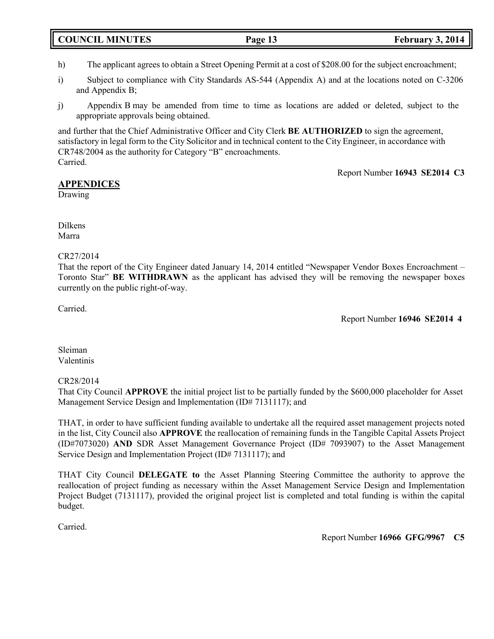# **COUNCIL MINUTES Page 13 February 3, 2014**

- h) The applicant agrees to obtain a Street Opening Permit at a cost of \$208.00 for the subject encroachment;
- i) Subject to compliance with City Standards AS-544 (Appendix A) and at the locations noted on C-3206 and Appendix B;
- j) Appendix B may be amended from time to time as locations are added or deleted, subject to the appropriate approvals being obtained.

and further that the Chief Administrative Officer and City Clerk **BE AUTHORIZED** to sign the agreement, satisfactory in legal form to the City Solicitor and in technical content to the City Engineer, in accordance with CR748/2004 as the authority for Category "B" encroachments. Carried.

Report Number **16943 SE2014 C3**

# **APPENDICES**

Drawing

Dilkens Marra

### CR27/2014

That the report of the City Engineer dated January 14, 2014 entitled "Newspaper Vendor Boxes Encroachment – Toronto Star" **BE WITHDRAWN** as the applicant has advised they will be removing the newspaper boxes currently on the public right-of-way.

Carried.

Report Number **16946 SE2014 4**

Sleiman Valentinis

### CR28/2014

That City Council **APPROVE** the initial project list to be partially funded by the \$600,000 placeholder for Asset Management Service Design and Implementation (ID# 7131117); and

THAT, in order to have sufficient funding available to undertake all the required asset management projects noted in the list, City Council also **APPROVE** the reallocation of remaining funds in the Tangible Capital Assets Project (ID#7073020) **AND** SDR Asset Management Governance Project (ID# 7093907) to the Asset Management Service Design and Implementation Project (ID# 7131117); and

THAT City Council **DELEGATE to** the Asset Planning Steering Committee the authority to approve the reallocation of project funding as necessary within the Asset Management Service Design and Implementation Project Budget (7131117), provided the original project list is completed and total funding is within the capital budget.

Carried.

Report Number **16966 GFG/9967 C5**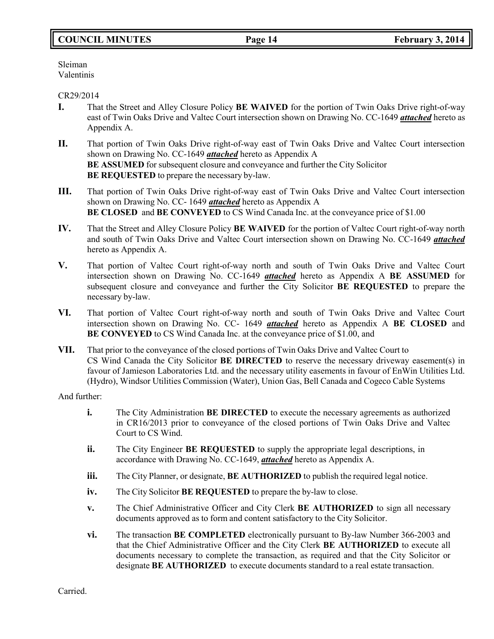# **COUNCIL MINUTES Page 14 February 3, 2014**

Sleiman Valentinis

#### CR29/2014

- **I.** That the Street and Alley Closure Policy **BE WAIVED** for the portion of Twin Oaks Drive right-of-way east of Twin Oaks Drive and Valtec Court intersection shown on Drawing No. CC-1649 *attached* hereto as Appendix A.
- **II.** That portion of Twin Oaks Drive right-of-way east of Twin Oaks Drive and Valtec Court intersection shown on Drawing No. CC-1649 *attached* hereto as Appendix A **BE ASSUMED** for subsequent closure and conveyance and further the City Solicitor **BE REQUESTED** to prepare the necessary by-law.
- **III.** That portion of Twin Oaks Drive right-of-way east of Twin Oaks Drive and Valtec Court intersection shown on Drawing No. CC- 1649 *attached* hereto as Appendix A **BE CLOSED** and **BE CONVEYED** to CS Wind Canada Inc. at the conveyance price of \$1.00
- **IV.** That the Street and Alley Closure Policy **BE WAIVED** for the portion of Valtec Court right-of-way north and south of Twin Oaks Drive and Valtec Court intersection shown on Drawing No. CC-1649 *attached* hereto as Appendix A.
- **V.** That portion of Valtec Court right-of-way north and south of Twin Oaks Drive and Valtec Court intersection shown on Drawing No. CC-1649 *attached* hereto as Appendix A **BE ASSUMED** for subsequent closure and conveyance and further the City Solicitor **BE REQUESTED** to prepare the necessary by-law.
- **VI.** That portion of Valtec Court right-of-way north and south of Twin Oaks Drive and Valtec Court intersection shown on Drawing No. CC- 1649 *attached* hereto as Appendix A **BE CLOSED** and **BE CONVEYED** to CS Wind Canada Inc. at the conveyance price of \$1.00, and
- **VII.** That prior to the conveyance of the closed portions of Twin Oaks Drive and Valtec Court to CS Wind Canada the City Solicitor **BE DIRECTED** to reserve the necessary driveway easement(s) in favour of Jamieson Laboratories Ltd. and the necessary utility easements in favour of EnWin Utilities Ltd. (Hydro), Windsor Utilities Commission (Water), Union Gas, Bell Canada and Cogeco Cable Systems

And further:

- **i.** The City Administration **BE DIRECTED** to execute the necessary agreements as authorized in CR16/2013 prior to conveyance of the closed portions of Twin Oaks Drive and Valtec Court to CS Wind.
- **ii.** The City Engineer **BE REQUESTED** to supply the appropriate legal descriptions, in accordance with Drawing No. CC-1649, *attached* hereto as Appendix A.
- **iii.** The City Planner, or designate, **BE AUTHORIZED** to publish the required legal notice.
- **iv.** The City Solicitor **BE REQUESTED** to prepare the by-law to close.
- **v.** The Chief Administrative Officer and City Clerk **BE AUTHORIZED** to sign all necessary documents approved as to form and content satisfactory to the City Solicitor.
- **vi.** The transaction **BE COMPLETED** electronically pursuant to By-law Number 366-2003 and that the Chief Administrative Officer and the City Clerk **BE AUTHORIZED** to execute all documents necessary to complete the transaction, as required and that the City Solicitor or designate **BE AUTHORIZED** to execute documents standard to a real estate transaction.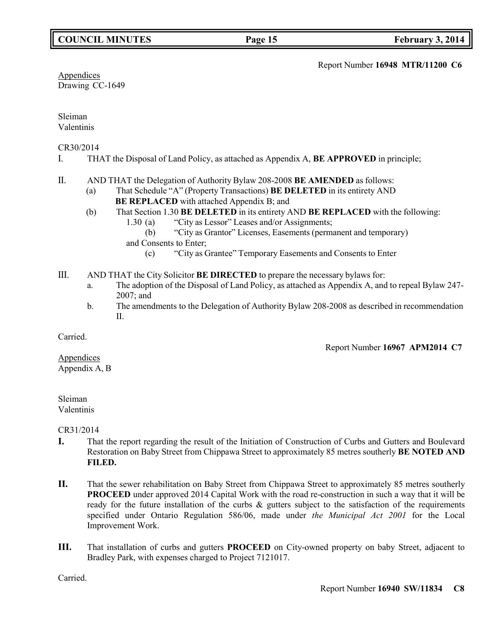Report Number **16948 MTR/11200 C6**

**Appendices** Drawing CC-1649

Sleiman Valentinis

#### CR30/2014

- I. THAT the Disposal of Land Policy, as attached as Appendix A, **BE APPROVED** in principle;
- II. AND THAT the Delegation of Authority Bylaw 208-2008 **BE AMENDED** as follows:
	- (a) That Schedule "A" (Property Transactions) **BE DELETED** in its entirety AND **BE REPLACED** with attached Appendix B; and
	- (b) That Section 1.30 **BE DELETED** in its entirety AND **BE REPLACED** with the following:
		- 1.30 (a) "City as Lessor" Leases and/or Assignments;
		- (b) "City as Grantor" Licenses, Easements (permanent and temporary) and Consents to Enter;
			- (c) "City as Grantee" Temporary Easements and Consents to Enter
- III. AND THAT the City Solicitor **BE DIRECTED** to prepare the necessary bylaws for:
	- a. The adoption of the Disposal of Land Policy, as attached as Appendix A, and to repeal Bylaw 247- 2007; and
	- b. The amendments to the Delegation of Authority Bylaw 208-2008 as described in recommendation II.

Carried.

Report Number **16967 APM2014 C7**

**Appendices** Appendix A, B

# Sleiman

Valentinis

CR31/2014

- **I.** That the report regarding the result of the Initiation of Construction of Curbs and Gutters and Boulevard Restoration on Baby Street from Chippawa Street to approximately 85 metres southerly **BE NOTED AND FILED.**
- **II.** That the sewer rehabilitation on Baby Street from Chippawa Street to approximately 85 metres southerly **PROCEED** under approved 2014 Capital Work with the road re-construction in such a way that it will be ready for the future installation of the curbs & gutters subject to the satisfaction of the requirements specified under Ontario Regulation 586/06, made under *the Municipal Act 2001* for the Local Improvement Work.
- **III.** That installation of curbs and gutters **PROCEED** on City-owned property on baby Street, adjacent to Bradley Park, with expenses charged to Project 7121017.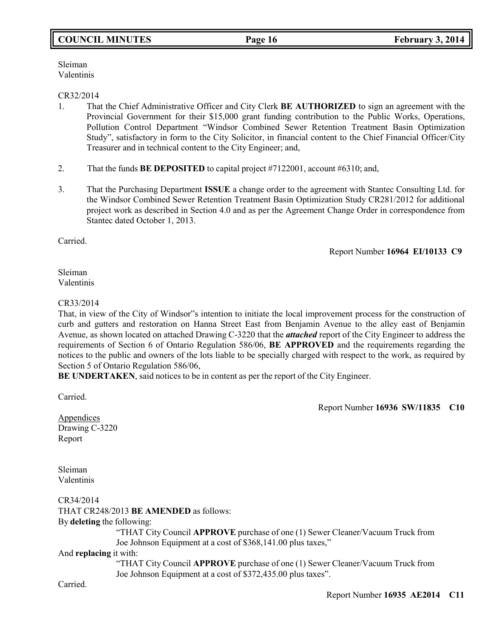# **COUNCIL MINUTES Page 16 February 3, 2014**

Sleiman Valentinis

#### CR32/2014

- 1. That the Chief Administrative Officer and City Clerk **BE AUTHORIZED** to sign an agreement with the Provincial Government for their \$15,000 grant funding contribution to the Public Works, Operations, Pollution Control Department "Windsor Combined Sewer Retention Treatment Basin Optimization Study", satisfactory in form to the City Solicitor, in financial content to the Chief Financial Officer/City Treasurer and in technical content to the City Engineer; and,
- 2. That the funds **BE DEPOSITED** to capital project #7122001, account #6310; and,
- 3. That the Purchasing Department **ISSUE** a change order to the agreement with Stantec Consulting Ltd. for the Windsor Combined Sewer Retention Treatment Basin Optimization Study CR281/2012 for additional project work as described in Section 4.0 and as per the Agreement Change Order in correspondence from Stantec dated October 1, 2013.

Carried.

Report Number **16964 EI/10133 C9**

Sleiman Valentinis

#### CR33/2014

That, in view of the City of Windsor"s intention to initiate the local improvement process for the construction of curb and gutters and restoration on Hanna Street East from Benjamin Avenue to the alley east of Benjamin Avenue, as shown located on attached Drawing C-3220 that the *attached* report of the City Engineer to address the requirements of Section 6 of Ontario Regulation 586/06, **BE APPROVED** and the requirements regarding the notices to the public and owners of the lots liable to be specially charged with respect to the work, as required by Section 5 of Ontario Regulation 586/06,

**BE UNDERTAKEN**, said notices to be in content as per the report of the City Engineer.

Carried.

Report Number **16936 SW/11835 C10**

Appendices Drawing C-3220 Report

Sleiman Valentinis

CR34/2014 THAT CR248/2013 **BE AMENDED** as follows: By **deleting** the following: "THAT City Council **APPROVE** purchase of one (1) Sewer Cleaner/Vacuum Truck from Joe Johnson Equipment at a cost of \$368,141.00 plus taxes," And **replacing** it with:

> "THAT City Council **APPROVE** purchase of one (1) Sewer Cleaner/Vacuum Truck from Joe Johnson Equipment at a cost of \$372,435.00 plus taxes".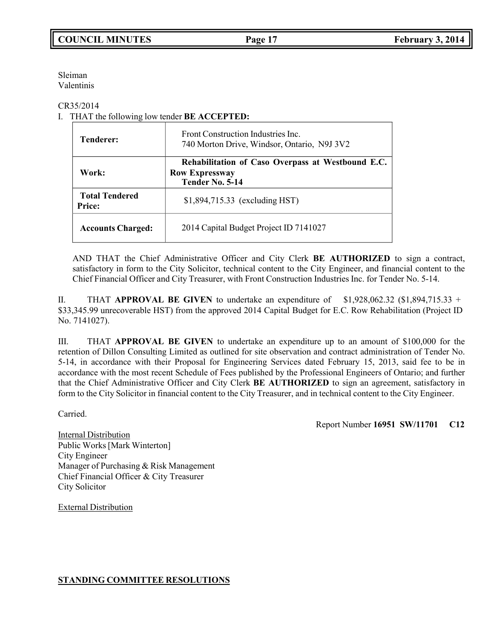Sleiman Valentinis

CR35/2014

I. THAT the following low tender **BE ACCEPTED:**

| <b>Tenderer:</b>                       | Front Construction Industries Inc.<br>740 Morton Drive, Windsor, Ontario, N9J 3V2             |  |
|----------------------------------------|-----------------------------------------------------------------------------------------------|--|
| Work:                                  | Rehabilitation of Caso Overpass at Westbound E.C.<br><b>Row Expressway</b><br>Tender No. 5-14 |  |
| <b>Total Tendered</b><br><b>Price:</b> | \$1,894,715.33 (excluding HST)                                                                |  |
| <b>Accounts Charged:</b>               | 2014 Capital Budget Project ID 7141027                                                        |  |

AND THAT the Chief Administrative Officer and City Clerk **BE AUTHORIZED** to sign a contract, satisfactory in form to the City Solicitor, technical content to the City Engineer, and financial content to the Chief Financial Officer and City Treasurer, with Front Construction Industries Inc. for Tender No. 5-14.

II. THAT **APPROVAL BE GIVEN** to undertake an expenditure of \$1,928,062.32 (\$1,894,715.33 + \$33,345.99 unrecoverable HST) from the approved 2014 Capital Budget for E.C. Row Rehabilitation (Project ID No. 7141027).

III. THAT **APPROVAL BE GIVEN** to undertake an expenditure up to an amount of \$100,000 for the retention of Dillon Consulting Limited as outlined for site observation and contract administration of Tender No. 5-14, in accordance with their Proposal for Engineering Services dated February 15, 2013, said fee to be in accordance with the most recent Schedule of Fees published by the Professional Engineers of Ontario; and further that the Chief Administrative Officer and City Clerk **BE AUTHORIZED** to sign an agreement, satisfactory in form to the City Solicitor in financial content to the City Treasurer, and in technical content to the City Engineer.

Carried.

Report Number **16951 SW/11701 C12**

Internal Distribution Public Works[Mark Winterton] City Engineer Manager of Purchasing & Risk Management Chief Financial Officer & City Treasurer City Solicitor

External Distribution

#### **STANDING COMMITTEE RESOLUTIONS**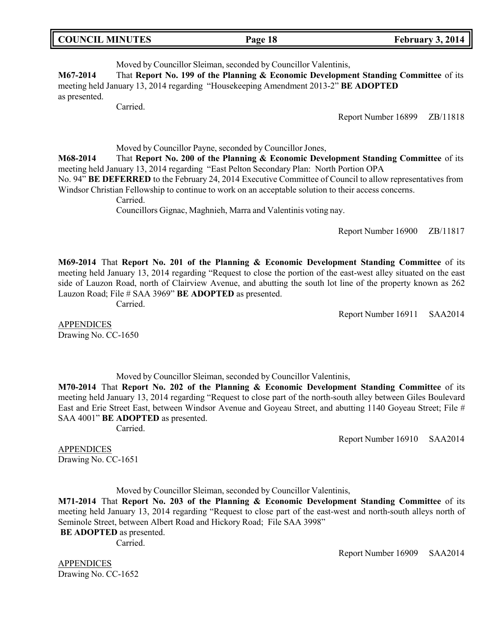| <b>COUNCIL MINUTES</b> | Page 18 | February 3, 2014 |
|------------------------|---------|------------------|
|                        |         |                  |

Moved by Councillor Sleiman, seconded by Councillor Valentinis, **M67-2014** That **Report No. 199 of the Planning & Economic Development Standing Committee** of its meeting held January 13, 2014 regarding "Housekeeping Amendment 2013-2" **BE ADOPTED** as presented.

Carried.

Report Number 16899 ZB/11818

Moved by Councillor Payne, seconded by Councillor Jones,

**M68-2014** That **Report No. 200 of the Planning & Economic Development Standing Committee** of its meeting held January 13, 2014 regarding "East Pelton Secondary Plan: North Portion OPA

No. 94" **BE DEFERRED** to the February 24, 2014 Executive Committee of Council to allow representatives from Windsor Christian Fellowship to continue to work on an acceptable solution to their access concerns.

Carried.

Councillors Gignac, Maghnieh, Marra and Valentinis voting nay.

Report Number 16900 ZB/11817

**M69-2014** That **Report No. 201 of the Planning & Economic Development Standing Committee** of its meeting held January 13, 2014 regarding "Request to close the portion of the east-west alley situated on the east side of Lauzon Road, north of Clairview Avenue, and abutting the south lot line of the property known as 262 Lauzon Road; File # SAA 3969" **BE ADOPTED** as presented.

Carried.

Report Number 16911 SAA2014

APPENDICES Drawing No. CC-1650

Moved by Councillor Sleiman, seconded by Councillor Valentinis,

**M70-2014** That **Report No. 202 of the Planning & Economic Development Standing Committee** of its meeting held January 13, 2014 regarding "Request to close part of the north-south alley between Giles Boulevard East and Erie Street East, between Windsor Avenue and Goyeau Street, and abutting 1140 Goyeau Street; File # SAA 4001" **BE ADOPTED** as presented.

Carried.

Report Number 16910 SAA2014

APPENDICES Drawing No. CC-1651

Moved by Councillor Sleiman, seconded by Councillor Valentinis,

**M71-2014** That **Report No. 203 of the Planning & Economic Development Standing Committee** of its meeting held January 13, 2014 regarding "Request to close part of the east-west and north-south alleys north of Seminole Street, between Albert Road and Hickory Road; File SAA 3998"

**BE ADOPTED** as presented.

Carried.

Report Number 16909 SAA2014

APPENDICES Drawing No. CC-1652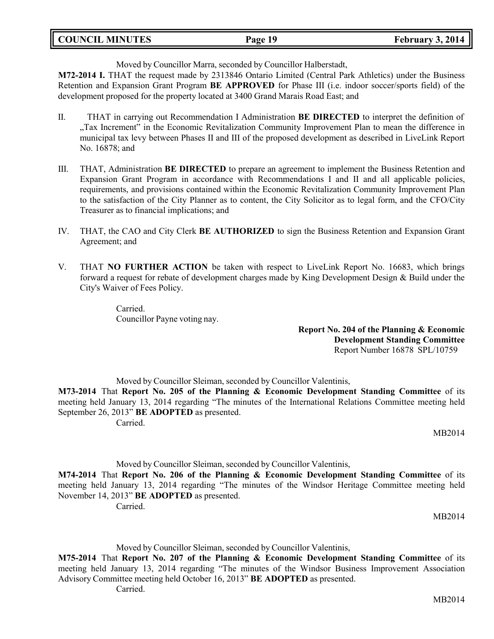| <b>COUNCIL MINUTES</b> | 19<br>Page 19 | February 3, 2014 |
|------------------------|---------------|------------------|
|                        |               |                  |

Moved by Councillor Marra, seconded by Councillor Halberstadt,

**M72-2014 I.** THAT the request made by 2313846 Ontario Limited (Central Park Athletics) under the Business Retention and Expansion Grant Program **BE APPROVED** for Phase III (i.e. indoor soccer/sports field) of the development proposed for the property located at 3400 Grand Marais Road East; and

- II. THAT in carrying out Recommendation I Administration **BE DIRECTED** to interpret the definition of "Tax Increment" in the Economic Revitalization Community Improvement Plan to mean the difference in municipal tax levy between Phases II and III of the proposed development as described in LiveLink Report No. 16878; and
- III. THAT, Administration **BE DIRECTED** to prepare an agreement to implement the Business Retention and Expansion Grant Program in accordance with Recommendations I and II and all applicable policies, requirements, and provisions contained within the Economic Revitalization Community Improvement Plan to the satisfaction of the City Planner as to content, the City Solicitor as to legal form, and the CFO/City Treasurer as to financial implications; and
- IV. THAT, the CAO and City Clerk **BE AUTHORIZED** to sign the Business Retention and Expansion Grant Agreement; and
- V. THAT **NO FURTHER ACTION** be taken with respect to LiveLink Report No. 16683, which brings forward a request for rebate of development charges made by King Development Design & Build under the City's Waiver of Fees Policy.

Carried. Councillor Payne voting nay.

> **Report No. 204 of the Planning & Economic Development Standing Committee** Report Number 16878 SPL/10759

Moved by Councillor Sleiman, seconded by Councillor Valentinis,

**M73-2014** That **Report No. 205 of the Planning & Economic Development Standing Committee** of its meeting held January 13, 2014 regarding "The minutes of the International Relations Committee meeting held September 26, 2013" **BE ADOPTED** as presented.

Carried.

MB2014

Moved by Councillor Sleiman, seconded by Councillor Valentinis,

**M74-2014** That **Report No. 206 of the Planning & Economic Development Standing Committee** of its meeting held January 13, 2014 regarding "The minutes of the Windsor Heritage Committee meeting held November 14, 2013" **BE ADOPTED** as presented.

Carried.

MB2014

Moved by Councillor Sleiman, seconded by Councillor Valentinis,

**M75-2014** That **Report No. 207 of the Planning & Economic Development Standing Committee** of its meeting held January 13, 2014 regarding "The minutes of the Windsor Business Improvement Association Advisory Committee meeting held October 16, 2013" **BE ADOPTED** as presented.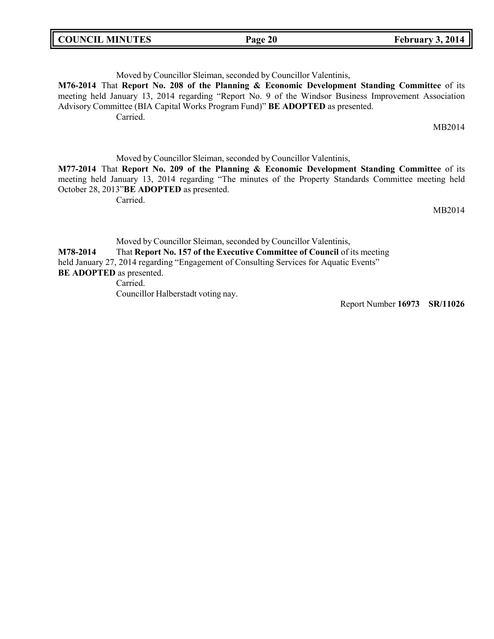|--|

Moved by Councillor Sleiman, seconded by Councillor Valentinis, **M76-2014** That **Report No. 208 of the Planning & Economic Development Standing Committee** of its meeting held January 13, 2014 regarding "Report No. 9 of the Windsor Business Improvement Association Advisory Committee (BIA Capital Works Program Fund)" **BE ADOPTED** as presented. Carried. MB2014 Moved by Councillor Sleiman, seconded by Councillor Valentinis, **M77-2014** That **Report No. 209 of the Planning & Economic Development Standing Committee** of its meeting held January 13, 2014 regarding "The minutes of the Property Standards Committee meeting held October 28, 2013"**BE ADOPTED** as presented. Carried. MB2014 Moved by Councillor Sleiman, seconded by Councillor Valentinis,

**M78-2014** That **Report No. 157 of the Executive Committee of Council** of its meeting held January 27, 2014 regarding "Engagement of Consulting Services for Aquatic Events" **BE ADOPTED** as presented. Carried. Councillor Halberstadt voting nay.

Report Number **16973 SR/11026**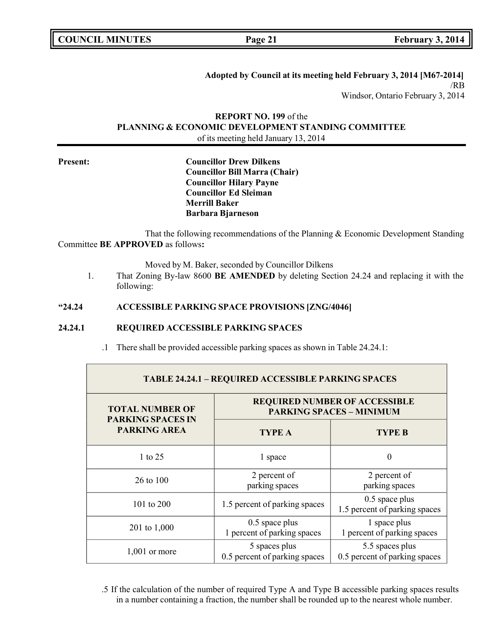Г

**COUNCIL EXECUTE: Page 21 February** 3, 2014

**Adopted by Council at its meeting held February 3, 2014 [M67-2014]** /RB Windsor, Ontario February 3, 2014

### **REPORT NO. 199** of the **PLANNING & ECONOMIC DEVELOPMENT STANDING COMMITTEE** of its meeting held January 13, 2014

**Present: Councillor Drew Dilkens Councillor Bill Marra (Chair) Councillor Hilary Payne Councillor Ed Sleiman Merrill Baker Barbara Bjarneson**

That the following recommendations of the Planning & Economic Development Standing Committee **BE APPROVED** as follows**:**

Moved by M. Baker, seconded by Councillor Dilkens

1. That Zoning By-law 8600 **BE AMENDED** by deleting Section 24.24 and replacing it with the following:

#### **"24.24 ACCESSIBLE PARKING SPACE PROVISIONS [ZNG/4046]**

#### **24.24.1 REQUIRED ACCESSIBLE PARKING SPACES**

.1 There shall be provided accessible parking spaces as shown in Table 24.24.1:

| <b>TABLE 24.24.1 - REQUIRED ACCESSIBLE PARKING SPACES</b>                 |                                                                         |                                                   |  |
|---------------------------------------------------------------------------|-------------------------------------------------------------------------|---------------------------------------------------|--|
| <b>TOTAL NUMBER OF</b><br><b>PARKING SPACES IN</b><br><b>PARKING AREA</b> | <b>REQUIRED NUMBER OF ACCESSIBLE</b><br><b>PARKING SPACES - MINIMUM</b> |                                                   |  |
|                                                                           | <b>TYPE A</b>                                                           | <b>TYPE B</b>                                     |  |
| 1 to 25                                                                   | 1 space                                                                 | $\theta$                                          |  |
| 26 to 100                                                                 | 2 percent of<br>parking spaces                                          | 2 percent of<br>parking spaces                    |  |
| 101 to 200                                                                | 1.5 percent of parking spaces                                           | $0.5$ space plus<br>1.5 percent of parking spaces |  |
| 201 to 1,000                                                              | $0.5$ space plus<br>1 percent of parking spaces                         | 1 space plus<br>1 percent of parking spaces       |  |
| $1,001$ or more                                                           | 5 spaces plus<br>0.5 percent of parking spaces                          | 5.5 spaces plus<br>0.5 percent of parking spaces  |  |

.5 If the calculation of the number of required Type A and Type B accessible parking spaces results in a number containing a fraction, the number shall be rounded up to the nearest whole number.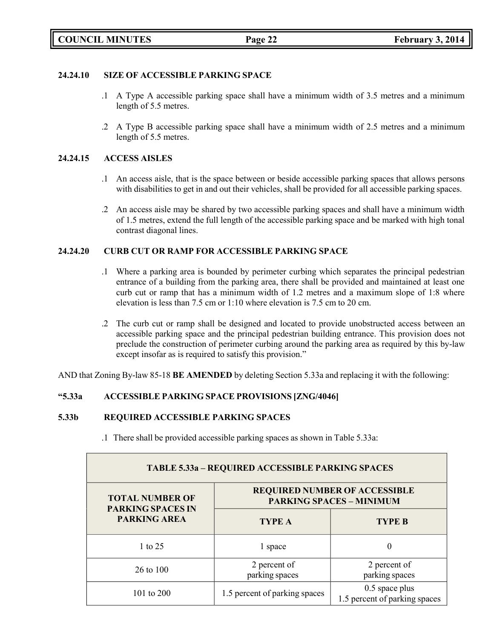### **24.24.10 SIZE OF ACCESSIBLE PARKING SPACE**

- .1 A Type A accessible parking space shall have a minimum width of 3.5 metres and a minimum length of 5.5 metres.
- .2 A Type B accessible parking space shall have a minimum width of 2.5 metres and a minimum length of 5.5 metres.

### **24.24.15 ACCESS AISLES**

- .1 An access aisle, that is the space between or beside accessible parking spaces that allows persons with disabilities to get in and out their vehicles, shall be provided for all accessible parking spaces.
- .2 An access aisle may be shared by two accessible parking spaces and shall have a minimum width of 1.5 metres, extend the full length of the accessible parking space and be marked with high tonal contrast diagonal lines.

### **24.24.20 CURB CUT OR RAMP FOR ACCESSIBLE PARKING SPACE**

- .1 Where a parking area is bounded by perimeter curbing which separates the principal pedestrian entrance of a building from the parking area, there shall be provided and maintained at least one curb cut or ramp that has a minimum width of 1.2 metres and a maximum slope of 1:8 where elevation is less than 7.5 cm or 1:10 where elevation is 7.5 cm to 20 cm.
- .2 The curb cut or ramp shall be designed and located to provide unobstructed access between an accessible parking space and the principal pedestrian building entrance. This provision does not preclude the construction of perimeter curbing around the parking area as required by this by-law except insofar as is required to satisfy this provision."

AND that Zoning By-law 85-18 **BE AMENDED** by deleting Section 5.33a and replacing it with the following:

### **"5.33a ACCESSIBLE PARKING SPACE PROVISIONS [ZNG/4046]**

#### **5.33b REQUIRED ACCESSIBLE PARKING SPACES**

.1 There shall be provided accessible parking spaces as shown in Table 5.33a:

| TABLE 5.33a - REQUIRED ACCESSIBLE PARKING SPACES   |                                                                         |                                                   |  |
|----------------------------------------------------|-------------------------------------------------------------------------|---------------------------------------------------|--|
| <b>TOTAL NUMBER OF</b><br><b>PARKING SPACES IN</b> | <b>REQUIRED NUMBER OF ACCESSIBLE</b><br><b>PARKING SPACES - MINIMUM</b> |                                                   |  |
| <b>PARKING AREA</b>                                | <b>TYPE A</b>                                                           | <b>TYPE B</b>                                     |  |
| 1 to 25                                            | 1 space                                                                 |                                                   |  |
| 26 to 100                                          | 2 percent of<br>parking spaces                                          | 2 percent of<br>parking spaces                    |  |
| 101 to 200                                         | 1.5 percent of parking spaces                                           | $0.5$ space plus<br>1.5 percent of parking spaces |  |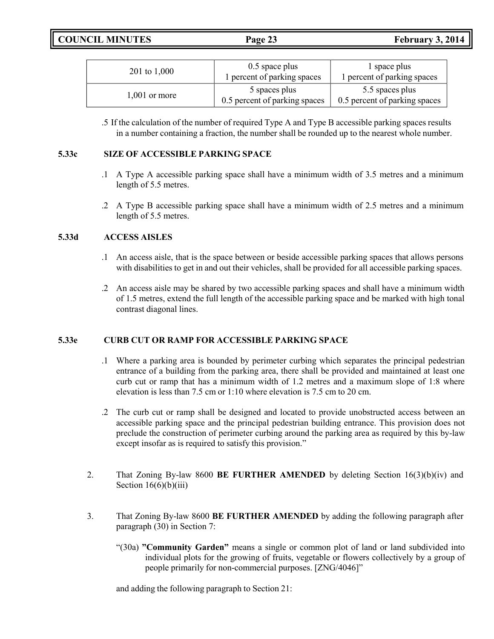**COUNCIL MINUTES Page 23 February 3, 2014**

| 201 to 1,000    | $0.5$ space plus<br>1 percent of parking spaces | 1 space plus<br>1 percent of parking spaces      |
|-----------------|-------------------------------------------------|--------------------------------------------------|
| $1,001$ or more | 5 spaces plus<br>0.5 percent of parking spaces  | 5.5 spaces plus<br>0.5 percent of parking spaces |

.5 If the calculation of the number of required Type A and Type B accessible parking spaces results in a number containing a fraction, the number shall be rounded up to the nearest whole number.

#### **5.33c SIZE OF ACCESSIBLE PARKING SPACE**

- .1 A Type A accessible parking space shall have a minimum width of 3.5 metres and a minimum length of 5.5 metres.
- .2 A Type B accessible parking space shall have a minimum width of 2.5 metres and a minimum length of 5.5 metres.

#### **5.33d ACCESS AISLES**

- .1 An access aisle, that is the space between or beside accessible parking spaces that allows persons with disabilities to get in and out their vehicles, shall be provided for all accessible parking spaces.
- .2 An access aisle may be shared by two accessible parking spaces and shall have a minimum width of 1.5 metres, extend the full length of the accessible parking space and be marked with high tonal contrast diagonal lines.

#### **5.33e CURB CUT OR RAMP FOR ACCESSIBLE PARKING SPACE**

- .1 Where a parking area is bounded by perimeter curbing which separates the principal pedestrian entrance of a building from the parking area, there shall be provided and maintained at least one curb cut or ramp that has a minimum width of 1.2 metres and a maximum slope of 1:8 where elevation is less than 7.5 cm or 1:10 where elevation is 7.5 cm to 20 cm.
- .2 The curb cut or ramp shall be designed and located to provide unobstructed access between an accessible parking space and the principal pedestrian building entrance. This provision does not preclude the construction of perimeter curbing around the parking area as required by this by-law except insofar as is required to satisfy this provision."
- 2. That Zoning By-law 8600 **BE FURTHER AMENDED** by deleting Section 16(3)(b)(iv) and Section  $16(6)(b)(iii)$
- 3. That Zoning By-law 8600 **BE FURTHER AMENDED** by adding the following paragraph after paragraph (30) in Section 7:
	- "(30a) **"Community Garden"** means a single or common plot of land or land subdivided into individual plots for the growing of fruits, vegetable or flowers collectively by a group of people primarily for non-commercial purposes. [ZNG/4046]"

and adding the following paragraph to Section 21: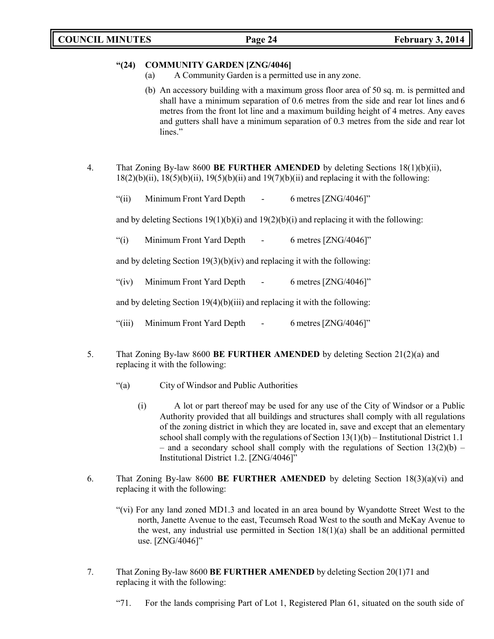#### **"(24) COMMUNITY GARDEN [ZNG/4046]**

- (a) A Community Garden is a permitted use in any zone.
- (b) An accessory building with a maximum gross floor area of 50 sq. m. is permitted and shall have a minimum separation of 0.6 metres from the side and rear lot lines and 6 metres from the front lot line and a maximum building height of 4 metres. Any eaves and gutters shall have a minimum separation of 0.3 metres from the side and rear lot lines."
- 4. That Zoning By-law 8600 **BE FURTHER AMENDED** by deleting Sections 18(1)(b)(ii),  $18(2)(b)(ii)$ ,  $18(5)(b)(ii)$ ,  $19(5)(b)(ii)$  and  $19(7)(b)(ii)$  and replacing it with the following:
	- "(ii) Minimum Front Yard Depth 6 metres [ZNG/4046]"

and by deleting Sections  $19(1)(b)(i)$  and  $19(2)(b)(i)$  and replacing it with the following:

"(i) Minimum Front Yard Depth - 6 metres [ZNG/4046]"

and by deleting Section 19(3)(b)(iv) and replacing it with the following:

"(iv) Minimum Front Yard Depth - 6 metres [ZNG/4046]"

and by deleting Section 19(4)(b)(iii) and replacing it with the following:

- "(iii) Minimum Front Yard Depth 6 metres [ZNG/4046]"
- 5. That Zoning By-law 8600 **BE FURTHER AMENDED** by deleting Section 21(2)(a) and replacing it with the following:
	- "(a) City of Windsor and Public Authorities
		- (i) A lot or part thereof may be used for any use of the City of Windsor or a Public Authority provided that all buildings and structures shall comply with all regulations of the zoning district in which they are located in, save and except that an elementary school shall comply with the regulations of Section  $13(1)(b)$  – Institutional District 1.1 – and a secondary school shall comply with the regulations of Section  $13(2)(b)$  – Institutional District 1.2. [ZNG/4046]"
- 6. That Zoning By-law 8600 **BE FURTHER AMENDED** by deleting Section 18(3)(a)(vi) and replacing it with the following:
	- "(vi) For any land zoned MD1.3 and located in an area bound by Wyandotte Street West to the north, Janette Avenue to the east, Tecumseh Road West to the south and McKay Avenue to the west, any industrial use permitted in Section  $18(1)(a)$  shall be an additional permitted use. [ZNG/4046]"
- 7. That Zoning By-law 8600 **BE FURTHER AMENDED** by deleting Section 20(1)71 and replacing it with the following:
	- "71. For the lands comprising Part of Lot 1, Registered Plan 61, situated on the south side of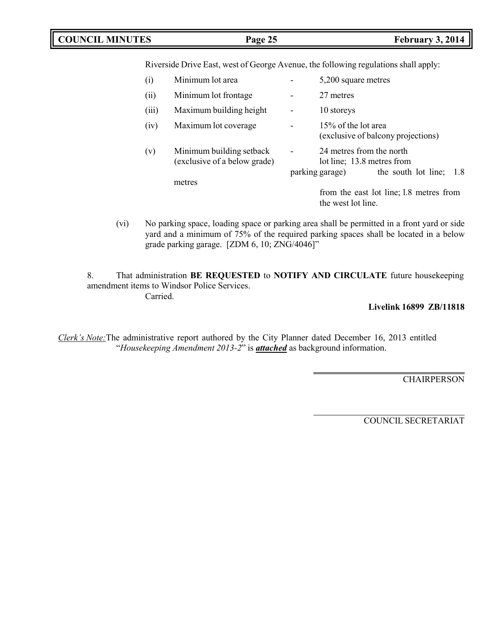### **COUNCIL MINUTES Page 25 February 3, 2014**

Riverside Drive East, west of George Avenue, the following regulations shall apply:

| (i)   | Minimum lot area                                                   |                | 5,200 square metres                                                                                       |
|-------|--------------------------------------------------------------------|----------------|-----------------------------------------------------------------------------------------------------------|
| (ii)  | Minimum lot frontage                                               |                | 27 metres                                                                                                 |
| (iii) | Maximum building height                                            |                | 10 storeys                                                                                                |
| (iv)  | Maximum lot coverage                                               | $\overline{a}$ | 15% of the lot area<br>(exclusive of balcony projections)                                                 |
| (v)   | Minimum building setback<br>(exclusive of a below grade)<br>metres |                | 24 metres from the north<br>lot line; 13.8 metres from<br>the south lot line;<br>parking garage)<br>- 1.8 |
|       |                                                                    |                | from the east lot line; 1.8 metres from<br>the west lot line.                                             |

(vi) No parking space, loading space or parking area shall be permitted in a front yard or side yard and a minimum of 75% of the required parking spaces shall be located in a below grade parking garage. [ZDM 6, 10; ZNG/4046]"

8. That administration **BE REQUESTED** to **NOTIFY AND CIRCULATE** future housekeeping amendment items to Windsor Police Services. Carried.

#### **Livelink 16899 ZB/11818**

*Clerk's Note:*The administrative report authored by the City Planner dated December 16, 2013 entitled "*Housekeeping Amendment 2013-2*" is *attached* as background information.

CHAIRPERSON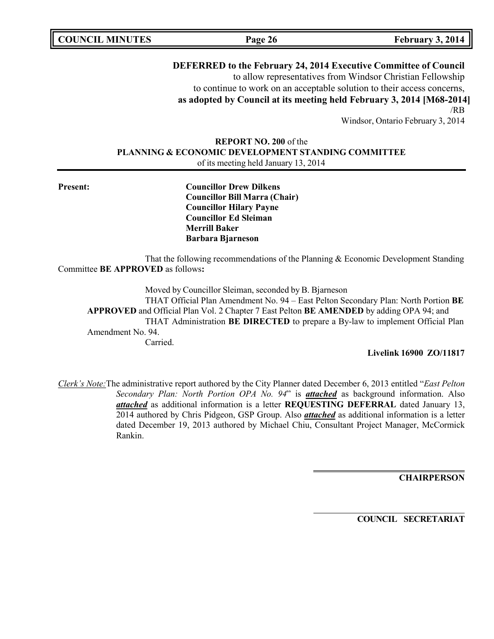**COUNCIL MINUTES Page 26 February 3, 2014**

**DEFERRED to the February 24, 2014 Executive Committee of Council** to allow representatives from Windsor Christian Fellowship

to continue to work on an acceptable solution to their access concerns, **as adopted by Council at its meeting held February 3, 2014 [M68-2014]** /RB

Windsor, Ontario February 3, 2014

### **REPORT NO. 200** of the **PLANNING & ECONOMIC DEVELOPMENT STANDING COMMITTEE** of its meeting held January 13, 2014

**Present: Councillor Drew Dilkens Councillor Bill Marra (Chair) Councillor Hilary Payne Councillor Ed Sleiman Merrill Baker Barbara Bjarneson**

That the following recommendations of the Planning & Economic Development Standing Committee **BE APPROVED** as follows**:**

Moved by Councillor Sleiman, seconded by B. Bjarneson

THAT Official Plan Amendment No. 94 – East Pelton Secondary Plan: North Portion **BE APPROVED** and Official Plan Vol. 2 Chapter 7 East Pelton **BE AMENDED** by adding OPA 94; and THAT Administration **BE DIRECTED** to prepare a By-law to implement Official Plan Amendment No. 94.

Carried.

**Livelink 16900 ZO/11817**

*Clerk's Note:*The administrative report authored by the City Planner dated December 6, 2013 entitled "*East Pelton Secondary Plan: North Portion OPA No. 94*" is *attached* as background information. Also *attached* as additional information is a letter **REQUESTING DEFERRAL** dated January 13, 2014 authored by Chris Pidgeon, GSP Group. Also *attached* as additional information is a letter dated December 19, 2013 authored by Michael Chiu, Consultant Project Manager, McCormick Rankin.

**CHAIRPERSON**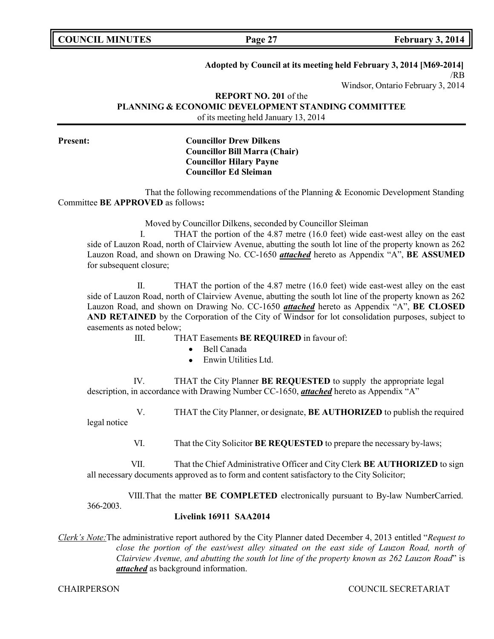**COUNCIL MINUTES Page 27 February 3, 2014**

#### **Adopted by Council at its meeting held February 3, 2014 [M69-2014]**

/RB

Windsor, Ontario February 3, 2014

#### **REPORT NO. 201** of the **PLANNING & ECONOMIC DEVELOPMENT STANDING COMMITTEE**

of its meeting held January 13, 2014

### **Present: Councillor Drew Dilkens Councillor Bill Marra (Chair) Councillor Hilary Payne Councillor Ed Sleiman**

That the following recommendations of the Planning & Economic Development Standing Committee **BE APPROVED** as follows**:**

Moved by Councillor Dilkens, seconded by Councillor Sleiman

I. THAT the portion of the 4.87 metre (16.0 feet) wide east-west alley on the east side of Lauzon Road, north of Clairview Avenue, abutting the south lot line of the property known as 262 Lauzon Road, and shown on Drawing No. CC-1650 *attached* hereto as Appendix "A", **BE ASSUMED** for subsequent closure;

II. THAT the portion of the 4.87 metre (16.0 feet) wide east-west alley on the east side of Lauzon Road, north of Clairview Avenue, abutting the south lot line of the property known as 262 Lauzon Road, and shown on Drawing No. CC-1650 *attached* hereto as Appendix "A", **BE CLOSED AND RETAINED** by the Corporation of the City of Windsor for lot consolidation purposes, subject to easements as noted below;

III. THAT Easements **BE REQUIRED** in favour of:

- Bell Canada
- Enwin Utilities Ltd.

IV. THAT the City Planner **BE REQUESTED** to supply the appropriate legal description, in accordance with Drawing Number CC-1650, *attached* hereto as Appendix "A"

V. THAT the City Planner, or designate, **BE AUTHORIZED** to publish the required legal notice

VI. That the City Solicitor **BE REQUESTED** to prepare the necessary by-laws;

VII. That the Chief Administrative Officer and City Clerk **BE AUTHORIZED** to sign all necessary documents approved as to form and content satisfactory to the City Solicitor;

366-2003. VIII.That the matter **BE COMPLETED** electronically pursuant to By-law NumberCarried.

#### **Livelink 16911 SAA2014**

*Clerk's Note:*The administrative report authored by the City Planner dated December 4, 2013 entitled "*Request to close the portion of the east/west alley situated on the east side of Lauzon Road, north of Clairview Avenue, and abutting the south lot line of the property known as 262 Lauzon Road*" is *attached* as background information.

CHAIRPERSON COUNCIL SECRETARIAT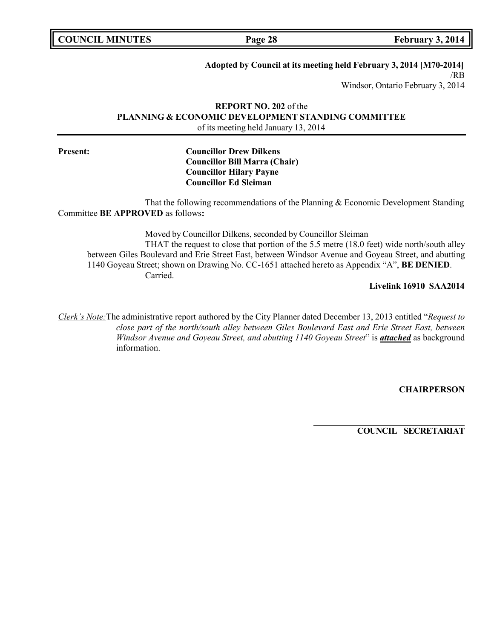**COUNCIL MINUTES Page 28 February 3, 2014**

**Adopted by Council at its meeting held February 3, 2014 [M70-2014]**

/RB

Windsor, Ontario February 3, 2014

#### **REPORT NO. 202** of the **PLANNING & ECONOMIC DEVELOPMENT STANDING COMMITTEE** of its meeting held January 13, 2014

### **Present: Councillor Drew Dilkens Councillor Bill Marra (Chair) Councillor Hilary Payne Councillor Ed Sleiman**

That the following recommendations of the Planning & Economic Development Standing Committee **BE APPROVED** as follows**:**

Moved by Councillor Dilkens, seconded by Councillor Sleiman THAT the request to close that portion of the 5.5 metre (18.0 feet) wide north/south alley between Giles Boulevard and Erie Street East, between Windsor Avenue and Goyeau Street, and abutting 1140 Goyeau Street; shown on Drawing No. CC-1651 attached hereto as Appendix "A", **BE DENIED**. Carried.

**Livelink 16910 SAA2014**

*Clerk's Note:*The administrative report authored by the City Planner dated December 13, 2013 entitled "*Request to close part of the north/south alley between Giles Boulevard East and Erie Street East, between Windsor Avenue and Goyeau Street, and abutting 1140 Goyeau Street*" is *attached* as background information.

**CHAIRPERSON**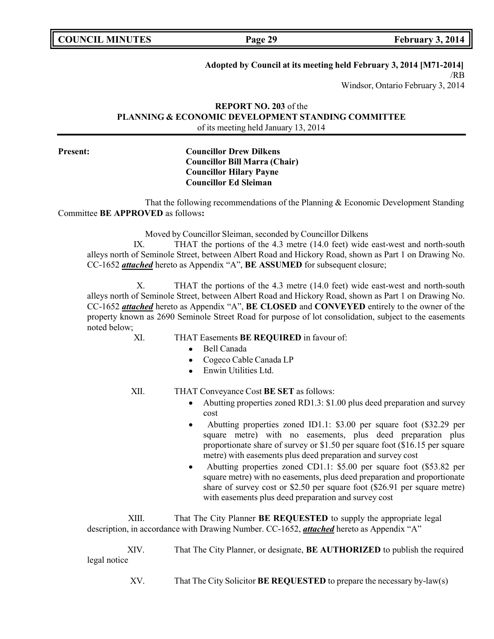**COUNCIL MINUTES Page 29 February 3, 2014**

**Adopted by Council at its meeting held February 3, 2014 [M71-2014]**

/RB

Windsor, Ontario February 3, 2014

#### **REPORT NO. 203** of the **PLANNING & ECONOMIC DEVELOPMENT STANDING COMMITTEE** of its meeting held January 13, 2014

### **Present: Councillor Drew Dilkens Councillor Bill Marra (Chair) Councillor Hilary Payne Councillor Ed Sleiman**

That the following recommendations of the Planning & Economic Development Standing Committee **BE APPROVED** as follows**:**

Moved by Councillor Sleiman, seconded by Councillor Dilkens

IX. THAT the portions of the 4.3 metre (14.0 feet) wide east-west and north-south alleys north of Seminole Street, between Albert Road and Hickory Road, shown as Part 1 on Drawing No. CC-1652 *attached* hereto as Appendix "A", **BE ASSUMED** for subsequent closure;

X. THAT the portions of the 4.3 metre (14.0 feet) wide east-west and north-south alleys north of Seminole Street, between Albert Road and Hickory Road, shown as Part 1 on Drawing No. CC-1652 *attached* hereto as Appendix "A", **BE CLOSED** and **CONVEYED** entirely to the owner of the property known as 2690 Seminole Street Road for purpose of lot consolidation, subject to the easements noted below;

- XI. THAT Easements **BE REQUIRED** in favour of:
	- Bell Canada  $\bullet$
	- Cogeco Cable Canada LP
	- Enwin Utilities Ltd.

- XII. THAT Conveyance Cost **BE SET** as follows:
	- $\bullet$  Abutting properties zoned RD1.3: \$1.00 plus deed preparation and survey cost
	- Abutting properties zoned ID1.1: \$3.00 per square foot (\$32.29 per  $\bullet$ square metre) with no easements, plus deed preparation plus proportionate share of survey or \$1.50 per square foot (\$16.15 per square metre) with easements plus deed preparation and survey cost
	- Abutting properties zoned CD1.1: \$5.00 per square foot (\$53.82 per square metre) with no easements, plus deed preparation and proportionate share of survey cost or \$2.50 per square foot (\$26.91 per square metre) with easements plus deed preparation and survey cost

XIII. That The City Planner **BE REQUESTED** to supply the appropriate legal description, in accordance with Drawing Number. CC-1652, *attached* hereto as Appendix "A"

XIV. That The City Planner, or designate, **BE AUTHORIZED** to publish the required legal notice

XV. That The City Solicitor **BE REQUESTED** to prepare the necessary by-law(s)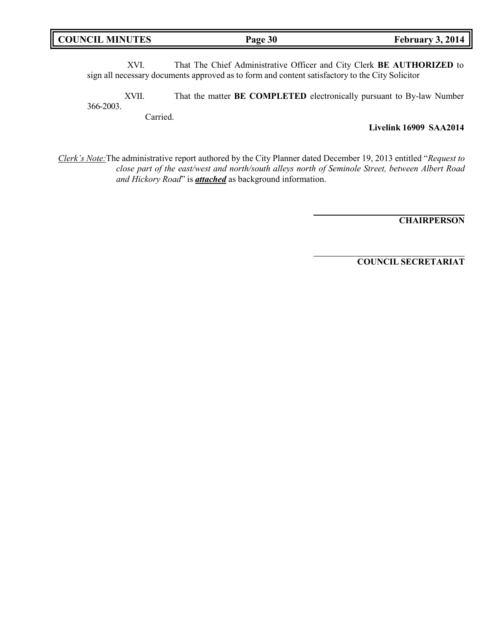|  | <b>COUNCIL MINUTES</b> |
|--|------------------------|
|--|------------------------|

XVI. That The Chief Administrative Officer and City Clerk **BE AUTHORIZED** to sign all necessary documents approved as to form and content satisfactory to the City Solicitor

366-2003. XVII. That the matter **BE COMPLETED** electronically pursuant to By-law Number

Carried.

**Livelink 16909 SAA2014**

*Clerk's Note:*The administrative report authored by the City Planner dated December 19, 2013 entitled "*Request to close part of the east/west and north/south alleys north of Seminole Street, between Albert Road and Hickory Road*" is *attached* as background information.

**CHAIRPERSON**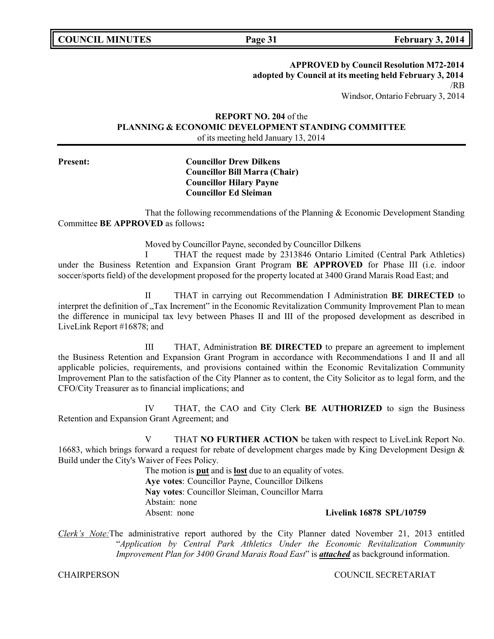**COUNCIL MINUTES Page 31 February 3, 2014**

**APPROVED by Council Resolution M72-2014**

**adopted by Council at its meeting held February 3, 2014** /RB

Windsor, Ontario February 3, 2014

### **REPORT NO. 204** of the **PLANNING & ECONOMIC DEVELOPMENT STANDING COMMITTEE** of its meeting held January 13, 2014

#### **Present: Councillor Drew Dilkens Councillor Bill Marra (Chair) Councillor Hilary Payne Councillor Ed Sleiman**

That the following recommendations of the Planning & Economic Development Standing Committee **BE APPROVED** as follows**:**

Moved by Councillor Payne, seconded by Councillor Dilkens

I THAT the request made by 2313846 Ontario Limited (Central Park Athletics) under the Business Retention and Expansion Grant Program **BE APPROVED** for Phase III (i.e. indoor soccer/sports field) of the development proposed for the property located at 3400 Grand Marais Road East; and

II THAT in carrying out Recommendation I Administration **BE DIRECTED** to interpret the definition of "Tax Increment" in the Economic Revitalization Community Improvement Plan to mean the difference in municipal tax levy between Phases II and III of the proposed development as described in LiveLink Report #16878; and

III THAT, Administration **BE DIRECTED** to prepare an agreement to implement the Business Retention and Expansion Grant Program in accordance with Recommendations I and II and all applicable policies, requirements, and provisions contained within the Economic Revitalization Community Improvement Plan to the satisfaction of the City Planner as to content, the City Solicitor as to legal form, and the CFO/City Treasurer as to financial implications; and

IV THAT, the CAO and City Clerk **BE AUTHORIZED** to sign the Business Retention and Expansion Grant Agreement; and

V THAT **NO FURTHER ACTION** be taken with respect to LiveLink Report No. 16683, which brings forward a request for rebate of development charges made by King Development Design & Build under the City's Waiver of Fees Policy.

> The motion is **put** and is **lost** due to an equality of votes. **Aye votes**: Councillor Payne, Councillor Dilkens **Nay votes**: Councillor Sleiman, Councillor Marra Abstain: none Absent: none **Livelink 16878 SPL/10759**

*Clerk's Note:*The administrative report authored by the City Planner dated November 21, 2013 entitled "*Application by Central Park Athletics Under the Economic Revitalization Community Improvement Plan for 3400 Grand Marais Road East*" is *attached* as background information.

CHAIRPERSON COUNCIL SECRETARIAT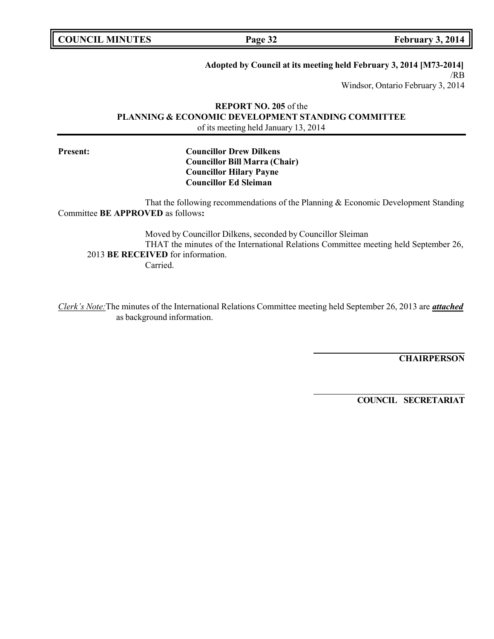**COUNCIL EXECUTE: COUNCIL Page 32 February 3,** 2014

**Adopted by Council at its meeting held February 3, 2014 [M73-2014]**

/RB

Windsor, Ontario February 3, 2014

#### **REPORT NO. 205** of the **PLANNING & ECONOMIC DEVELOPMENT STANDING COMMITTEE** of its meeting held January 13, 2014

### **Present: Councillor Drew Dilkens Councillor Bill Marra (Chair) Councillor Hilary Payne Councillor Ed Sleiman**

That the following recommendations of the Planning & Economic Development Standing Committee **BE APPROVED** as follows**:**

Moved by Councillor Dilkens, seconded by Councillor Sleiman THAT the minutes of the International Relations Committee meeting held September 26, 2013 **BE RECEIVED** for information. Carried.

*Clerk's Note:*The minutes of the International Relations Committee meeting held September 26, 2013 are *attached* as background information.

**CHAIRPERSON**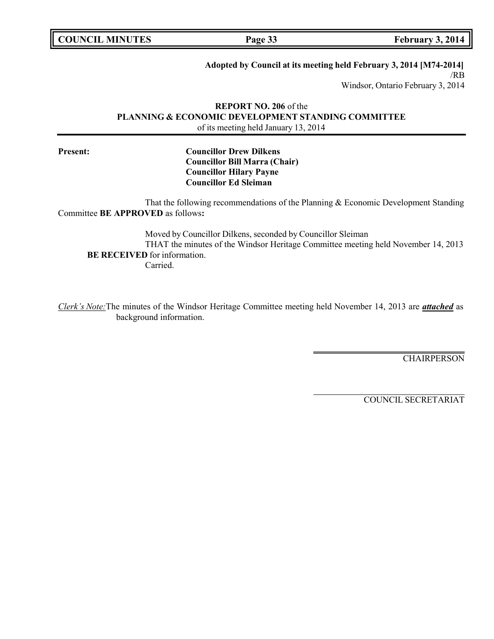**Page 33 February 3, 2014** 

**Adopted by Council at its meeting held February 3, 2014 [M74-2014]**

/RB

Windsor, Ontario February 3, 2014

#### **REPORT NO. 206** of the **PLANNING & ECONOMIC DEVELOPMENT STANDING COMMITTEE** of its meeting held January 13, 2014

### **Present: Councillor Drew Dilkens Councillor Bill Marra (Chair) Councillor Hilary Payne Councillor Ed Sleiman**

That the following recommendations of the Planning & Economic Development Standing Committee **BE APPROVED** as follows**:**

Moved by Councillor Dilkens, seconded by Councillor Sleiman THAT the minutes of the Windsor Heritage Committee meeting held November 14, 2013 **BE RECEIVED** for information. Carried.

*Clerk's Note:*The minutes of the Windsor Heritage Committee meeting held November 14, 2013 are *attached* as background information.

**CHAIRPERSON**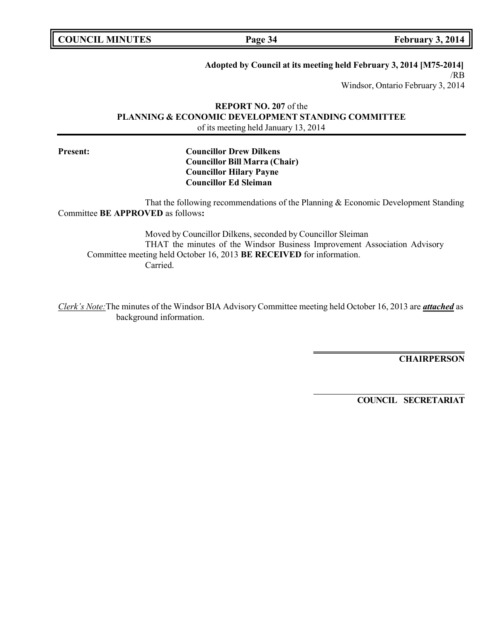**COUNCIL MINUTES Page 34 February 3, 2014**

**Adopted by Council at its meeting held February 3, 2014 [M75-2014]**

/RB Windsor, Ontario February 3, 2014

**REPORT NO. 207** of the **PLANNING & ECONOMIC DEVELOPMENT STANDING COMMITTEE** of its meeting held January 13, 2014

### **Present: Councillor Drew Dilkens Councillor Bill Marra (Chair) Councillor Hilary Payne Councillor Ed Sleiman**

That the following recommendations of the Planning & Economic Development Standing Committee **BE APPROVED** as follows**:**

Moved by Councillor Dilkens, seconded by Councillor Sleiman THAT the minutes of the Windsor Business Improvement Association Advisory Committee meeting held October 16, 2013 **BE RECEIVED** for information. Carried.

*Clerk's Note:*The minutes of the Windsor BIA Advisory Committee meeting held October 16, 2013 are *attached* as background information.

**CHAIRPERSON**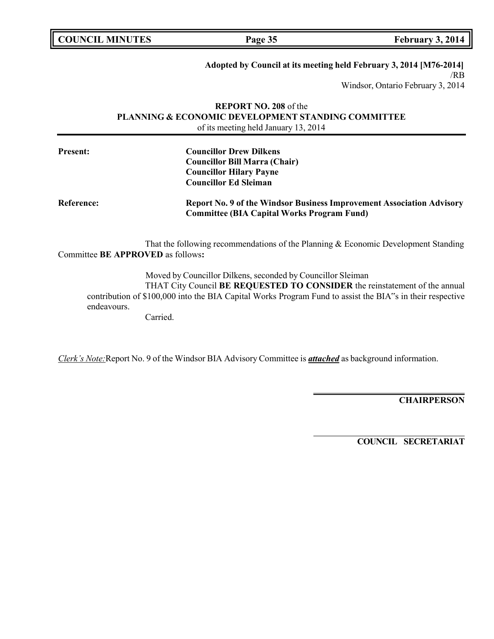| <b>COUNCIL MINUTES</b> | Page 35 | February 3, 2014 |
|------------------------|---------|------------------|
|                        |         |                  |

# **Adopted by Council at its meeting held February 3, 2014 [M76-2014]**

/RB Windsor, Ontario February 3, 2014

#### **REPORT NO. 208** of the **PLANNING & ECONOMIC DEVELOPMENT STANDING COMMITTEE** of its meeting held January 13, 2014

| <b>Present:</b>   | <b>Councillor Drew Dilkens</b><br><b>Councillor Bill Marra (Chair)</b>                                                            |
|-------------------|-----------------------------------------------------------------------------------------------------------------------------------|
|                   | <b>Councillor Hilary Payne</b><br><b>Councillor Ed Sleiman</b>                                                                    |
| <b>Reference:</b> | <b>Report No. 9 of the Windsor Business Improvement Association Advisory</b><br><b>Committee (BIA Capital Works Program Fund)</b> |

That the following recommendations of the Planning & Economic Development Standing Committee **BE APPROVED** as follows**:**

Moved by Councillor Dilkens, seconded by Councillor Sleiman THAT City Council **BE REQUESTED TO CONSIDER** the reinstatement of the annual contribution of \$100,000 into the BIA Capital Works Program Fund to assist the BIA"s in their respective endeavours.

Carried.

*Clerk's Note:*Report No. 9 of the Windsor BIA Advisory Committee is *attached* as background information.

**CHAIRPERSON**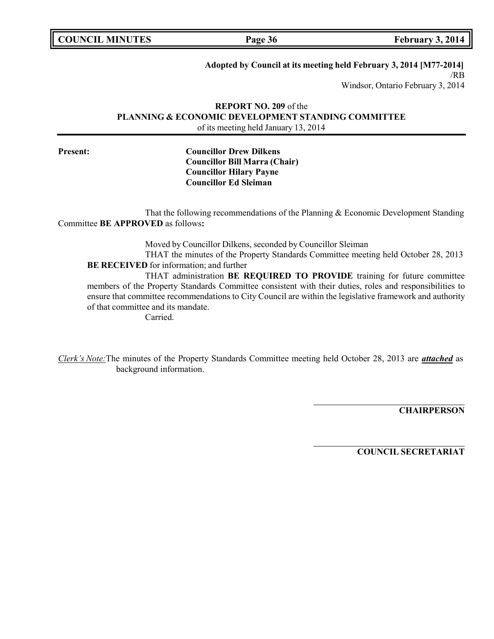| <b>COUNCIL MINUTES</b> |  |  |
|------------------------|--|--|
|------------------------|--|--|

**Page 36 February 3, 2014** 

**Adopted by Council at its meeting held February 3, 2014 [M77-2014]**

/RB Windsor, Ontario February 3, 2014

#### **REPORT NO. 209** of the **PLANNING & ECONOMIC DEVELOPMENT STANDING COMMITTEE** of its meeting held January 13, 2014

### **Present: Councillor Drew Dilkens Councillor Bill Marra (Chair) Councillor Hilary Payne Councillor Ed Sleiman**

That the following recommendations of the Planning & Economic Development Standing Committee **BE APPROVED** as follows**:**

Moved by Councillor Dilkens, seconded by Councillor Sleiman

THAT the minutes of the Property Standards Committee meeting held October 28, 2013 **BE RECEIVED** for information; and further

THAT administration **BE REQUIRED TO PROVIDE** training for future committee members of the Property Standards Committee consistent with their duties, roles and responsibilities to ensure that committee recommendations to City Council are within the legislative framework and authority of that committee and its mandate.

Carried.

*Clerk's Note:*The minutes of the Property Standards Committee meeting held October 28, 2013 are *attached* as background information.

**CHAIRPERSON**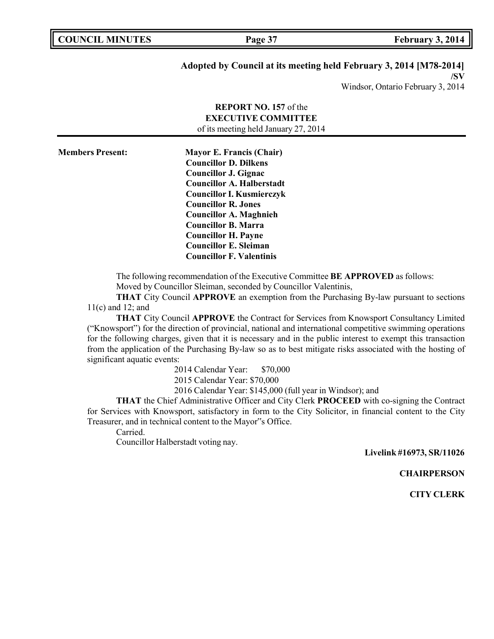| <b>COUNCIL MINUTES</b> |  |  |
|------------------------|--|--|
|------------------------|--|--|

### **Adopted by Council at its meeting held February 3, 2014 [M78-2014]**

**/SV** Windsor, Ontario February 3, 2014

|                         | <b>REPORT NO. 157 of the</b>         |  |
|-------------------------|--------------------------------------|--|
|                         | <b>EXECUTIVE COMMITTEE</b>           |  |
|                         | of its meeting held January 27, 2014 |  |
|                         |                                      |  |
| <b>Members Present:</b> | <b>Mayor E. Francis (Chair)</b>      |  |
|                         | <b>Councillor D. Dilkens</b>         |  |
|                         | <b>Councillor J. Gignac</b>          |  |
|                         | <b>Councillor A. Halberstadt</b>     |  |
|                         | <b>Councillor I. Kusmierczyk</b>     |  |
|                         | <b>Councillor R. Jones</b>           |  |
|                         | <b>Councillor A. Maghnieh</b>        |  |

The following recommendation of the Executive Committee **BE APPROVED** as follows: Moved by Councillor Sleiman, seconded by Councillor Valentinis,

**THAT** City Council **APPROVE** an exemption from the Purchasing By-law pursuant to sections 11(c) and 12; and

**THAT** City Council **APPROVE** the Contract for Services from Knowsport Consultancy Limited ("Knowsport") for the direction of provincial, national and international competitive swimming operations for the following charges, given that it is necessary and in the public interest to exempt this transaction from the application of the Purchasing By-law so as to best mitigate risks associated with the hosting of significant aquatic events:

2014 Calendar Year: \$70,000

2015 Calendar Year: \$70,000

**Councillor B. Marra Councillor H. Payne Councillor E. Sleiman Councillor F. Valentinis**

2016 Calendar Year: \$145,000 (full year in Windsor); and

**THAT** the Chief Administrative Officer and City Clerk **PROCEED** with co-signing the Contract for Services with Knowsport, satisfactory in form to the City Solicitor, in financial content to the City Treasurer, and in technical content to the Mayor"s Office.

Carried.

Councillor Halberstadt voting nay.

**Livelink #16973, SR/11026**

**CHAIRPERSON**

**CITY CLERK**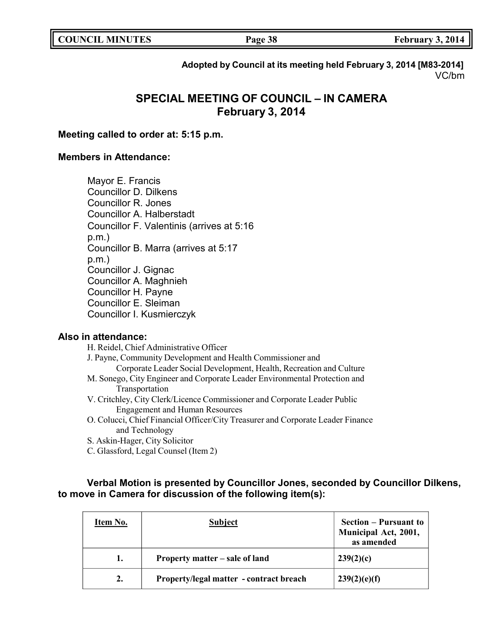**COUNCIL <b>Page** 38 **February** 3, 2014

**Adopted by Council at its meeting held February 3, 2014 [M83-2014]** VC/bm

# **SPECIAL MEETING OF COUNCIL – IN CAMERA February 3, 2014**

## **Meeting called to order at: 5:15 p.m.**

### **Members in Attendance:**

Mayor E. Francis Councillor D. Dilkens Councillor R. Jones Councillor A. Halberstadt Councillor F. Valentinis (arrives at 5:16 p.m.) Councillor B. Marra (arrives at 5:17 p.m.) Councillor J. Gignac Councillor A. Maghnieh Councillor H. Payne Councillor E. Sleiman Councillor I. Kusmierczyk

#### **Also in attendance:**

H. Reidel, Chief Administrative Officer

J. Payne, Community Development and Health Commissioner and

- Corporate Leader Social Development, Health, Recreation and Culture
- M. Sonego, City Engineer and Corporate Leader Environmental Protection and Transportation
- V. Critchley, City Clerk/Licence Commissioner and Corporate Leader Public Engagement and Human Resources
- O. Colucci, Chief Financial Officer/City Treasurer and Corporate Leader Finance and Technology
- S. Askin-Hager, City Solicitor
- C. Glassford, Legal Counsel (Item 2)

# **Verbal Motion is presented by Councillor Jones, seconded by Councillor Dilkens, to move in Camera for discussion of the following item(s):**

| Item No. | <b>Subject</b>                          | <b>Section – Pursuant to</b><br>Municipal Act, 2001,<br>as amended |
|----------|-----------------------------------------|--------------------------------------------------------------------|
| 1.       | Property matter – sale of land          | 239(2)(c)                                                          |
| 2.       | Property/legal matter - contract breach | 239(2)(e)(f)                                                       |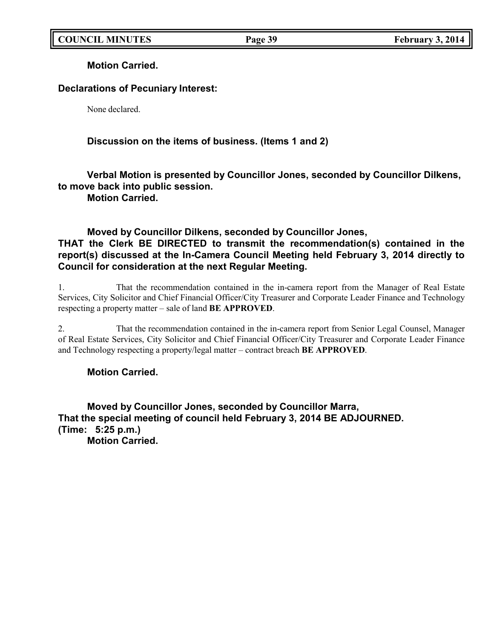**Motion Carried.**

# **Declarations of Pecuniary Interest:**

None declared.

# **Discussion on the items of business. (Items 1 and 2)**

# **Verbal Motion is presented by Councillor Jones, seconded by Councillor Dilkens, to move back into public session.**

**Motion Carried.**

# **Moved by Councillor Dilkens, seconded by Councillor Jones, THAT the Clerk BE DIRECTED to transmit the recommendation(s) contained in the report(s) discussed at the In-Camera Council Meeting held February 3, 2014 directly to Council for consideration at the next Regular Meeting.**

1. That the recommendation contained in the in-camera report from the Manager of Real Estate Services, City Solicitor and Chief Financial Officer/City Treasurer and Corporate Leader Finance and Technology respecting a property matter – sale of land **BE APPROVED**.

2. That the recommendation contained in the in-camera report from Senior Legal Counsel, Manager of Real Estate Services, City Solicitor and Chief Financial Officer/City Treasurer and Corporate Leader Finance and Technology respecting a property/legal matter – contract breach **BE APPROVED**.

# **Motion Carried.**

**Moved by Councillor Jones, seconded by Councillor Marra, That the special meeting of council held February 3, 2014 BE ADJOURNED. (Time: 5:25 p.m.)**

**Motion Carried.**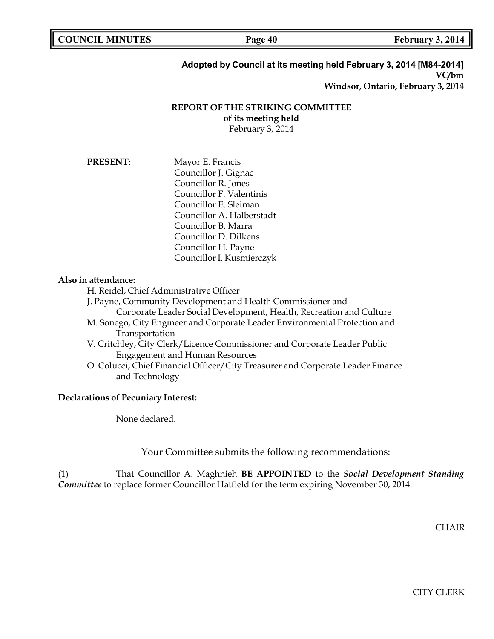**Page 40 February 3, 2014** 

# **Adopted by Council at its meeting held February 3, 2014 [M84-2014] VC/bm**

**Windsor, Ontario, February 3, 2014**

### **REPORT OF THE STRIKING COMMITTEE of its meeting held**

February 3, 2014

| <b>PRESENT:</b> | Mayor E. Francis          |
|-----------------|---------------------------|
|                 | Councillor J. Gignac      |
|                 | Councillor R. Jones       |
|                 | Councillor F. Valentinis  |
|                 | Councillor E. Sleiman     |
|                 | Councillor A. Halberstadt |
|                 | Councillor B. Marra       |
|                 | Councillor D. Dilkens     |
|                 | Councillor H. Payne       |
|                 | Councillor I. Kusmierczyk |

### **Also in attendance:**

H. Reidel, Chief Administrative Officer

J. Payne, Community Development and Health Commissioner and

Corporate Leader Social Development, Health, Recreation and Culture

- M. Sonego, City Engineer and Corporate Leader Environmental Protection and Transportation
- V. Critchley, City Clerk/Licence Commissioner and Corporate Leader Public Engagement and Human Resources
- O. Colucci, Chief Financial Officer/City Treasurer and Corporate Leader Finance and Technology

#### **Declarations of Pecuniary Interest:**

None declared.

Your Committee submits the following recommendations:

(1) That Councillor A. Maghnieh **BE APPOINTED** to the *Social Development Standing Committee* to replace former Councillor Hatfield for the term expiring November 30, 2014.

**CHAIR** 

CITY CLERK